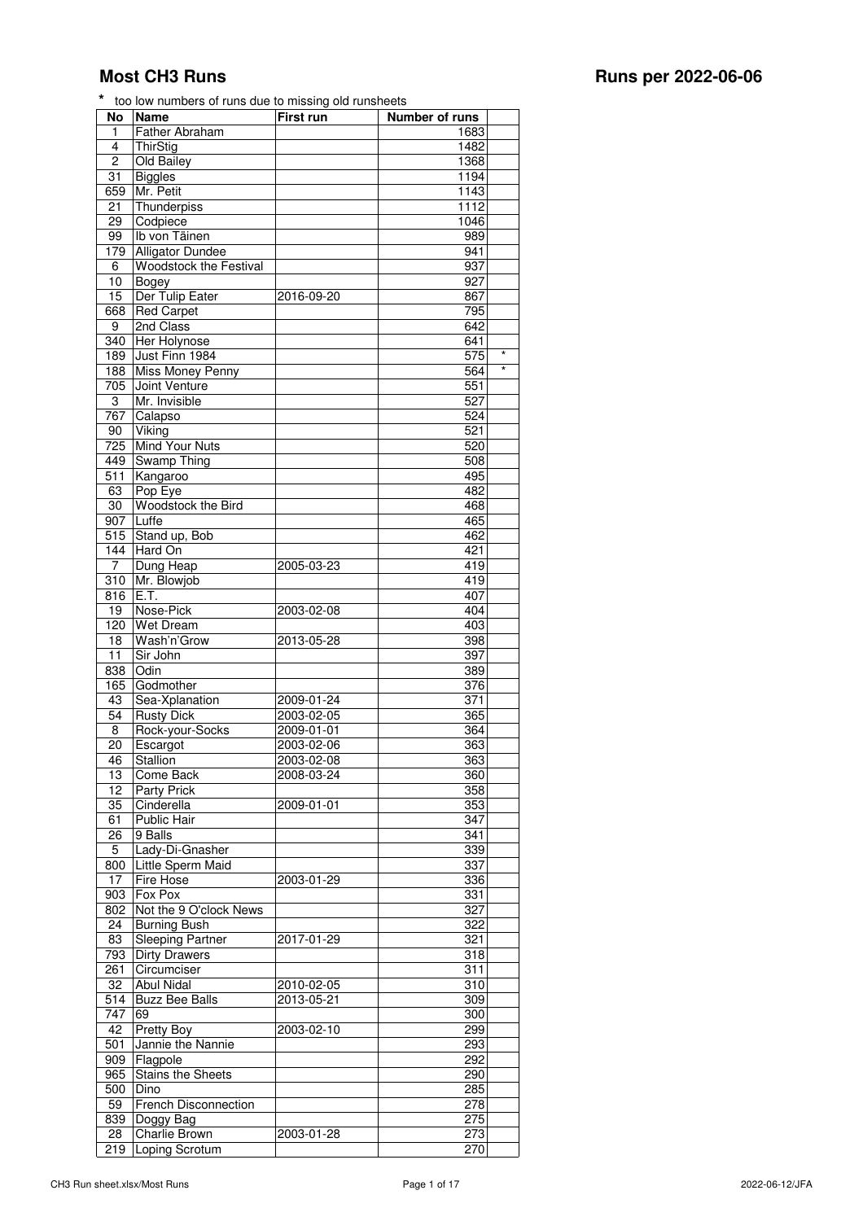| No              | Name                    | First run  | Number of runs |         |
|-----------------|-------------------------|------------|----------------|---------|
| 1               | <b>Father Abraham</b>   |            | 1683           |         |
| 4               | ThirStig                |            | 1482           |         |
| 2               | Old Bailey              |            | 1368           |         |
| 31              | <b>Biggles</b>          |            | 1194           |         |
| 659             | Mr. Petit               |            | 1143           |         |
| 21              | Thunderpiss             |            | 1112           |         |
| $\overline{29}$ | Codpiece                |            | 1046           |         |
| 99              | Ib von Täinen           |            | 989            |         |
| 179             | <b>Alligator Dundee</b> |            | 941            |         |
| 6               | Woodstock the Festival  |            | 937            |         |
| 10              | Bogey                   |            | 927            |         |
| 15              | Der Tulip Eater         | 2016-09-20 | 867            |         |
| 668             | <b>Red Carpet</b>       |            | 795            |         |
| 9               | 2nd Class               |            | 642            |         |
| 340             | Her Holynose            |            | 641            |         |
| 189             | Just Finn 1984          |            | 575            | $\star$ |
| 188             | Miss Money Penny        |            | 564            | $\star$ |
| 705             | Joint Venture           |            | 551            |         |
| 3               | Mr. Invisible           |            | 527            |         |
| 767             | Calapso                 |            | 524            |         |
| 90              | Viking                  |            | 521            |         |
| 725             | Mind Your Nuts          |            | 520            |         |
| 449             | <b>Swamp Thing</b>      |            | 508            |         |
| 511             | Kangaroo                |            | 495            |         |
| 63              | Pop Eye                 |            | 482            |         |
| 30              | Woodstock the Bird      |            | 468            |         |
| 907             | Luffe                   |            | 465            |         |
| 515             | Stand up, Bob           |            | 462            |         |
| 144             | Hard On                 |            | 421            |         |
| $\overline{7}$  | Dung Heap               | 2005-03-23 | 419            |         |
| 310             | Mr. Blowjob             |            | 419            |         |
| 816             | E.T.                    |            | 407            |         |
| 19              | Nose-Pick               | 2003-02-08 | 404            |         |
| 120             | <b>Wet Dream</b>        |            | 403            |         |
| 18              | Wash'n'Grow             | 2013-05-28 | 398            |         |
| 11              | Sir John                |            | 397            |         |
| 838             | Odin                    |            | 389            |         |
| 165             | Godmother               |            | 376            |         |
| 43              | Sea-Xplanation          | 2009-01-24 | 371            |         |
| $\overline{54}$ | <b>Rusty Dick</b>       | 2003-02-05 | 365            |         |
| 8               | Rock-your-Socks         | 2009-01-01 | 364            |         |
| 20              | Escargot                | 2003-02-06 | 363            |         |
| 46              | Stallion                | 2003-02-08 | 363            |         |
| 13              | Come Back               | 2008-03-24 | 360            |         |
| 12              | Party Prick             |            | 358            |         |
| 35              | Cinderella              | 2009-01-01 | 353            |         |
| 61              | Public Hair             |            | 347            |         |
| 26              | 9 Balls                 |            | 341            |         |
| 5               | Lady-Di-Gnasher         |            | 339            |         |
| 800             | Little Sperm Maid       |            | 337            |         |
| 17              | Fire Hose               | 2003-01-29 | 336            |         |
| 903             | Fox Pox                 |            | 331            |         |
| 802             | Not the 9 O'clock News  |            | 327            |         |
| 24              | <b>Burning Bush</b>     |            | 322            |         |
| 83              | <b>Sleeping Partner</b> | 2017-01-29 | 321            |         |
| 793             | <b>Dirty Drawers</b>    |            | 318            |         |
| 261             | Circumciser             |            | 311            |         |
| 32              | <b>Abul Nidal</b>       | 2010-02-05 | 310            |         |
| 514             | <b>Buzz Bee Balls</b>   | 2013-05-21 | 309            |         |
| 747             | 69                      |            | 300            |         |
| 42              | Pretty Boy              | 2003-02-10 | 299            |         |
| 501             | Jannie the Nannie       |            | 293            |         |
| 909             | Flagpole                |            | 292            |         |
| 965             | Stains the Sheets       |            | 290            |         |
| 500             | Dino                    |            | 285            |         |
| 59              | French Disconnection    |            | 278            |         |
| 839             | Doggy Bag               |            | 275            |         |
| 28              | Charlie Brown           | 2003-01-28 | 273            |         |
| 219             | Loping Scrotum          |            | 270            |         |
|                 |                         |            |                |         |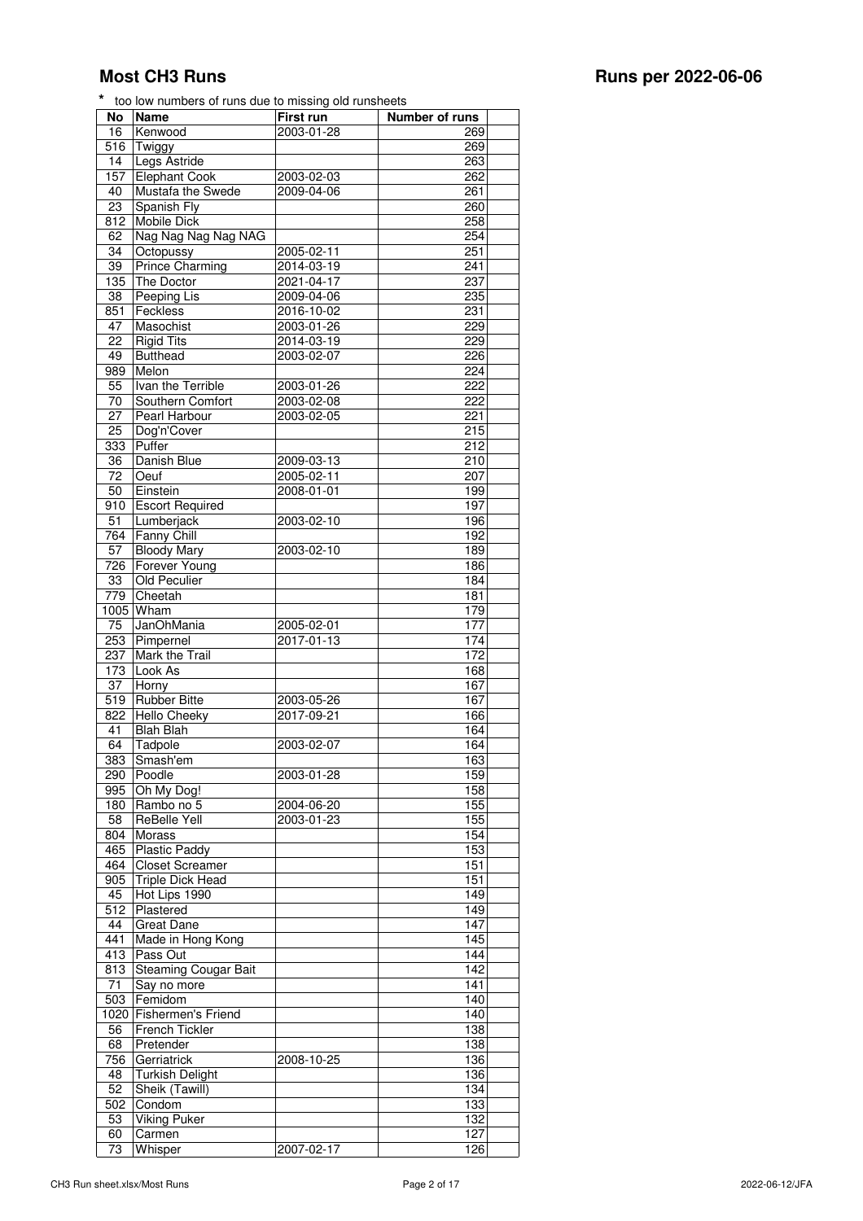| No               | Name                                       | First run                | <b>Number</b> of runs |
|------------------|--------------------------------------------|--------------------------|-----------------------|
| 16               | Kenwood                                    | 2003-01-28               | 269                   |
| 516              | Twiggy                                     |                          | 269                   |
| 14               | Legs Astride                               |                          | 263                   |
| 157              | <b>Elephant Cook</b>                       | 2003-02-03               | 262                   |
| 40               | Mustafa the Swede                          | 2009-04-06               | 261                   |
| 23               | Spanish Fly                                |                          | 260                   |
| 812              | Mobile Dick                                |                          | 258                   |
| 62               | Nag Nag Nag Nag NAG                        |                          | 254                   |
| 34               | Octopussy                                  | 2005-02-11               | 251                   |
| 39               | <b>Prince Charming</b>                     | 2014-03-19               | 241                   |
| 135              | The Doctor                                 | 2021-04-17               | 237                   |
| 38               | Peeping Lis                                | 2009-04-06               | 235                   |
| 851              | Feckless                                   | $2016 - 10 - 02$         | 231                   |
| 47               | Masochist                                  | 2003-01-26               | 229                   |
| 22<br>49         | <b>Rigid Tits</b><br><b>Butthead</b>       | 2014-03-19               | 229                   |
|                  |                                            | 2003-02-07               | 226                   |
| 989              | Melon<br>Ivan the Terrible                 |                          | 224<br>222            |
| 55               |                                            | 2003-01-26               |                       |
| 70               | Southern Comfort<br>Pearl Harbour          | 2003-02-08<br>2003-02-05 | 222<br>221            |
| 27<br>25         | Dog'n'Cover                                |                          | 215                   |
| 333              | Puffer                                     |                          | 212                   |
| 36               | Danish Blue                                | 2009-03-13               | 210                   |
| 72               | Oeuf                                       | 2005-02-11               | 207                   |
| 50               | Einstein                                   | 2008-01-01               | 199                   |
| 910              | <b>Escort Required</b>                     |                          | 197                   |
| 51               | Lumberjack                                 | 2003-02-10               | 196                   |
| 764              | Fanny Chill                                |                          | 192                   |
| 57               | <b>Bloody Mary</b>                         | 2003-02-10               | 189                   |
| 726              | Forever Young                              |                          | 186                   |
| 33               | Old Peculier                               |                          | 184                   |
| 779              | Cheetah                                    |                          | 181                   |
|                  | 1005 Wham                                  |                          | 179                   |
| 75               | JanOhMania                                 | 2005-02-01               | 177                   |
| 253              | Pimpernel                                  | 2017-01-13               | 174                   |
| 237              | Mark the Trail                             |                          | 172                   |
| 173              | Look As                                    |                          | 168                   |
| 37               | Horny                                      |                          | 167                   |
| 519              | <b>Rubber Bitte</b>                        | 2003-05-26               | 167                   |
| 822              | Hello Cheeky                               | 2017-09-21               | 166                   |
| 41               | <b>Blah Blah</b>                           |                          | 164                   |
| 64               | Tadpole                                    | 2003-02-07               | 164                   |
| $\overline{383}$ | Smash'em                                   |                          | 163                   |
| 290              | Poodle                                     | 2003-01-28               | 159                   |
| 995              | Oh My Dog!                                 |                          | 158                   |
| 180              | Rambo no 5                                 | 2004-06-20               | 155                   |
| 58               | <b>ReBelle Yell</b>                        | 2003-01-23               | 155                   |
| 804              | Morass                                     |                          | 154                   |
| 465              | <b>Plastic Paddy</b>                       |                          | 153                   |
| 464              | <b>Closet Screamer</b>                     |                          | 151                   |
| 905              | <b>Triple Dick Head</b>                    |                          | 151                   |
| 45               | Hot Lips 1990                              |                          | 149                   |
| 512              | Plastered                                  |                          | 149                   |
| 44               | <b>Great Dane</b>                          |                          | 147                   |
| 441              | Made in Hong Kong                          |                          | 145                   |
| 413              | Pass Out                                   |                          | 144                   |
| 813<br>71        | <b>Steaming Cougar Bait</b><br>Say no more |                          | 142<br>141            |
|                  |                                            |                          |                       |
| 503              | Femidom<br>Fishermen's Friend              |                          | 140<br>140            |
| 1020<br>56       | French Tickler                             |                          | 138                   |
|                  |                                            |                          |                       |
| 68               | Pretender                                  |                          | 138<br>136            |
| 756<br>48        | Gerriatrick<br><b>Turkish Delight</b>      | 2008-10-25               | 136                   |
| 52               |                                            |                          | 134                   |
| 502              | Sheik (Tawill)<br>Condom                   |                          | 133                   |
| 53               | <b>Viking Puker</b>                        |                          | 132                   |
| 60               | Carmen                                     |                          | 127                   |
| 73               | Whisper                                    | 2007-02-17               | 126                   |
|                  |                                            |                          |                       |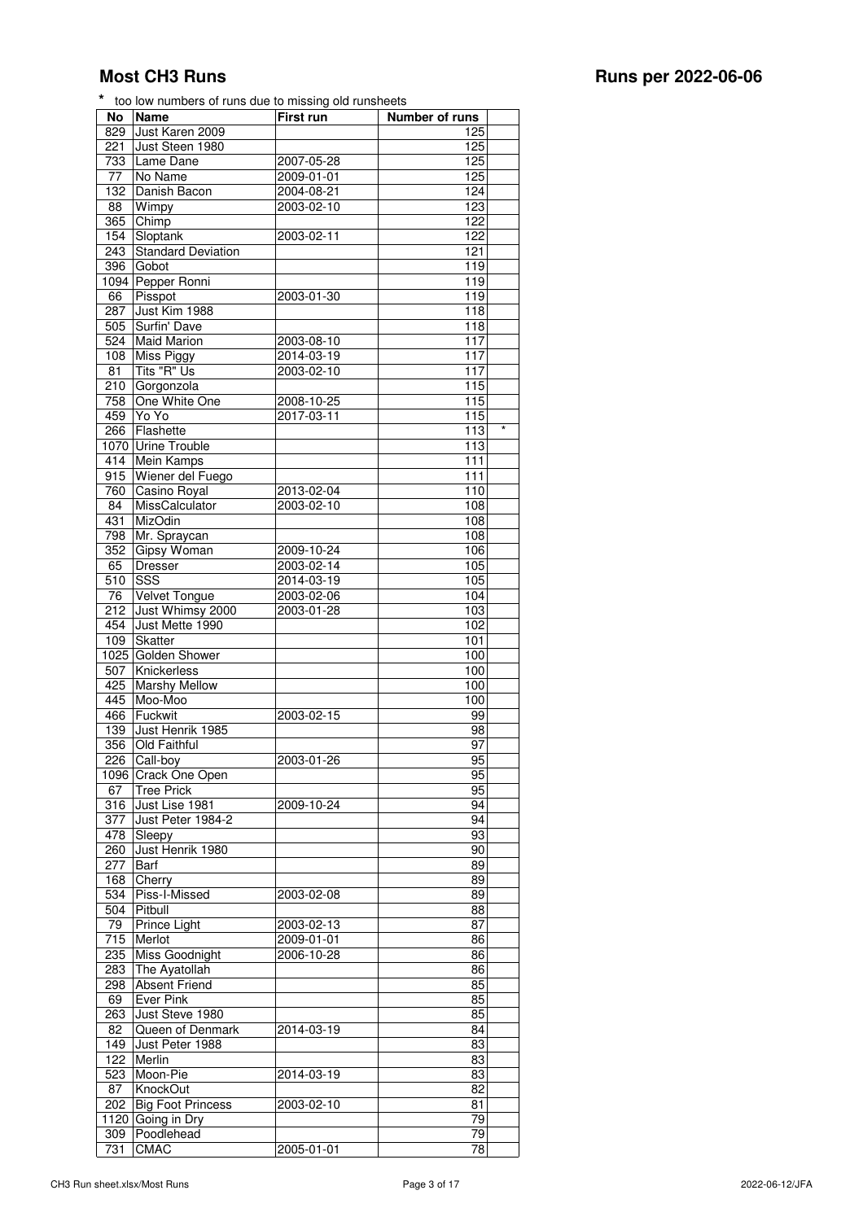| No               | Name                      | First run  | Number of runs |         |
|------------------|---------------------------|------------|----------------|---------|
| 829              | Just Karen 2009           |            | 125            |         |
| 221              | Just Steen 1980           |            | 125            |         |
| 733              | Lame Dane                 | 2007-05-28 | 125            |         |
| 77               | No Name                   | 2009-01-01 | 125            |         |
| 132              | Danish Bacon              | 2004-08-21 | 124            |         |
|                  |                           |            |                |         |
| 88               | Wimpy                     | 2003-02-10 | 123            |         |
| 365              | Chimp                     |            | 122            |         |
| 154              | Sloptank                  | 2003-02-11 | 122            |         |
| 243              | <b>Standard Deviation</b> |            | 121            |         |
| 396              | Gobot                     |            | 119            |         |
|                  | 1094 Pepper Ronni         |            | 119            |         |
| 66               | Pisspot                   | 2003-01-30 | 119            |         |
|                  |                           |            |                |         |
| 287              | Just Kim 1988             |            | 118            |         |
| 505              | Surfin' Dave              |            | 118            |         |
| 524              | <b>Maid Marion</b>        | 2003-08-10 | 117            |         |
| 108              | <b>Miss Piggy</b>         | 2014-03-19 | 117            |         |
| 81               | Tits "R" Us               | 2003-02-10 | 117            |         |
| $\overline{2}10$ | Gorgonzola                |            | 115            |         |
|                  |                           |            |                |         |
| 758              | One White One             | 2008-10-25 | 115            |         |
| 459              | Yo Yo                     | 2017-03-11 | 115            |         |
| 266              | Flashette                 |            | 113            | $\star$ |
| 1070             | Urine Trouble             |            | 113            |         |
| 414              | Mein Kamps                |            | 111            |         |
| 915              | Wiener del Fuego          |            | 111            |         |
|                  |                           |            |                |         |
| 760              | Casino Royal              | 2013-02-04 | 110            |         |
| 84               | <b>MissCalculator</b>     | 2003-02-10 | 108            |         |
| 431              | MizOdin                   |            | 108            |         |
| 798              | Mr. Spraycan              |            | 108            |         |
| 352              | Gipsy Woman               | 2009-10-24 | 106            |         |
| 65               | <b>Dresser</b>            | 2003-02-14 | 105            |         |
|                  |                           |            |                |         |
| 510              | $SS\overline{S}$          | 2014-03-19 | 105            |         |
| 76               | Velvet Tongue             | 2003-02-06 | 104            |         |
| 212              | Just Whimsy 2000          | 2003-01-28 | 103            |         |
| 454              | Just Mette 1990           |            | 102            |         |
| 109              | <b>Skatter</b>            |            | 101            |         |
|                  |                           |            |                |         |
| 1025             | Golden Shower             |            | 100            |         |
| 507              | Knickerless               |            | 100            |         |
| 425              | <b>Marshy Mellow</b>      |            | 100            |         |
| 445              | Moo-Moo                   |            | 100            |         |
| 466              | Fuckwit                   | 2003-02-15 | 99             |         |
| 139              | Just Henrik 1985          |            | 98             |         |
| 356              |                           |            | 97             |         |
|                  | Old Faithful              |            |                |         |
| 226              | Call-boy                  | 2003-01-26 | 95             |         |
|                  | 1096 Crack One Open       |            | 95             |         |
| 67               | <b>Tree Prick</b>         |            | 95             |         |
| 316              | Just Lise 1981            | 2009-10-24 | 94             |         |
| 377              | Just Peter 1984-2         |            | 94             |         |
|                  |                           |            | 93             |         |
| 478              | Sleepy                    |            |                |         |
| 260              | Just Henrik 1980          |            | 90             |         |
| 277              | Barf                      |            | 89             |         |
| 168              | Cherry                    |            | 89             |         |
| 534              | Piss-I-Missed             | 2003-02-08 | 89             |         |
| 504              | Pitbull                   |            | 88             |         |
| 79               | Prince Light              | 2003-02-13 | 87             |         |
|                  |                           |            |                |         |
| 715              | Merlot                    | 2009-01-01 | 86             |         |
| 235              | Miss Goodnight            | 2006-10-28 | 86             |         |
| 283              | The Ayatollah             |            | 86             |         |
| 298              | <b>Absent Friend</b>      |            | 85             |         |
| 69               | Ever Pink                 |            | 85             |         |
|                  |                           |            |                |         |
| 263              | Just Steve 1980           |            | 85             |         |
| 82               | Queen of Denmark          | 2014-03-19 | 84             |         |
| 149              | Just Peter 1988           |            | 83             |         |
| 122              | Merlin                    |            | 83             |         |
| 523              | Moon-Pie                  | 2014-03-19 | 83             |         |
| 87               | KnockOut                  |            | 82             |         |
|                  |                           |            |                |         |
| 202              | <b>Big Foot Princess</b>  | 2003-02-10 | 81             |         |

1120 Going in Dry **1120** Going in Dry Poodlehead 79 CMAC 2005-01-01 78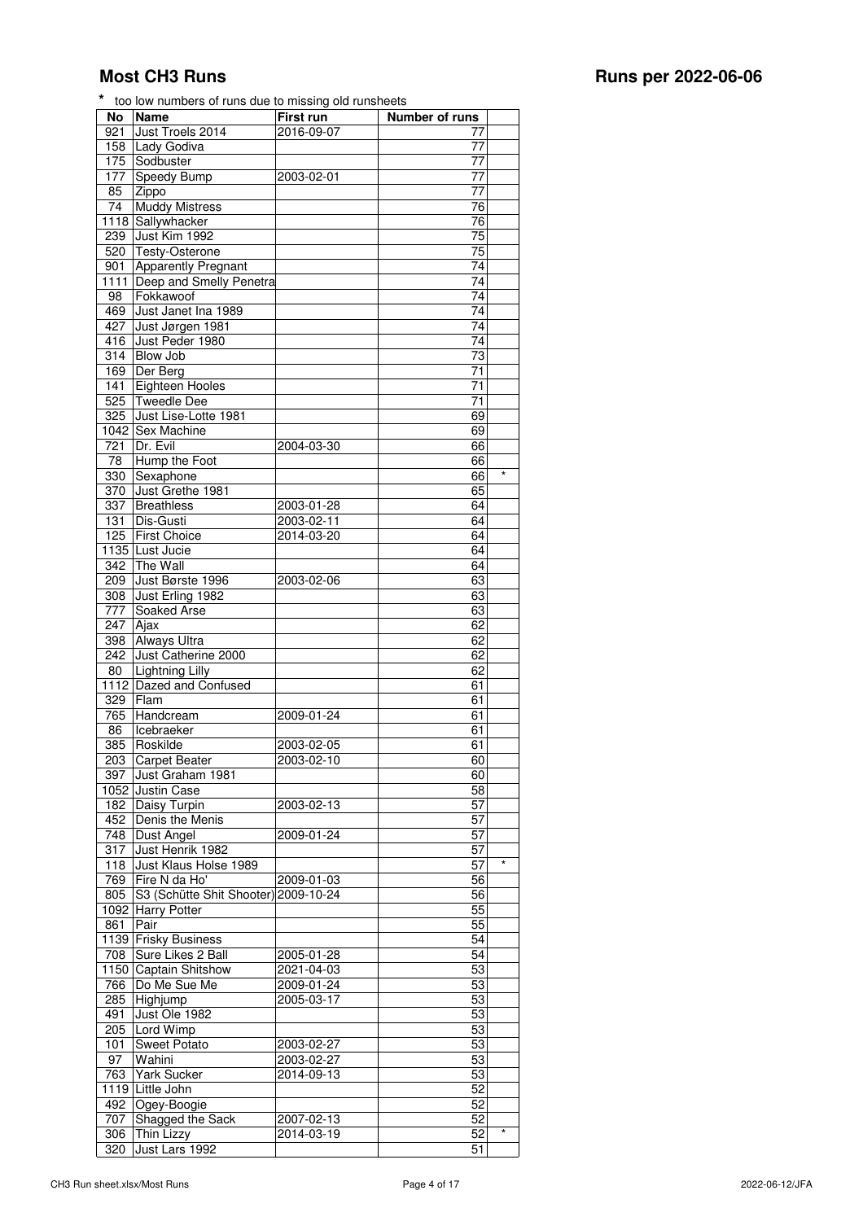| <b>No</b>        | <b>Name</b>                  | First run  | Number of runs   |
|------------------|------------------------------|------------|------------------|
| 921              | Just Troels 2014             | 2016-09-07 | 77               |
| 158              | Lady Godiva                  |            | 77               |
| 175              | Sodbuster                    |            | 77               |
| 177              | Speedy Bump                  | 2003-02-01 | 77               |
| 85               | Zippo                        |            | 77               |
| $\overline{74}$  | <b>Muddy Mistress</b>        |            | 76               |
|                  | 1118 Sallywhacker            |            | $\overline{76}$  |
| 239              | Just Kim 1992                |            | $\overline{75}$  |
| 520              | Testy-Osterone               |            | 75               |
| 901              | Apparently Pregnant          |            | 74               |
|                  | 1111 Deep and Smelly Penetra |            | 74               |
| 98               | Fokkawoof                    |            | 74               |
| 469              | Just Janet Ina 1989          |            | 74               |
| 427              | Just Jørgen 1981             |            | 74               |
| 416              | Just Peder 1980              |            | $\overline{74}$  |
| 314              | <b>Blow Job</b>              |            | 73               |
| 169              | Der Berg                     |            | 71               |
| 141              | Eighteen Hooles              |            | 71               |
| 525              | <b>Tweedle Dee</b>           |            | 71               |
| 325              | Just Lise-Lotte 1981         |            | 69               |
|                  |                              |            |                  |
|                  | 1042 Sex Machine             |            | 69               |
| 721              | Dr. Evil                     | 2004-03-30 | 66               |
| $\overline{78}$  | Hump the Foot                |            | 66               |
| 330              | Sexaphone                    |            | 66<br>$^{\star}$ |
| $\overline{370}$ | Just Grethe 1981             |            | 65               |
| 337              | Breathless                   | 2003-01-28 | 64               |
| 131              | Dis-Gusti                    | 2003-02-11 | 64               |
| 125              | <b>First Choice</b>          | 2014-03-20 | 64               |
|                  | 1135 Lust Jucie              |            | 64               |
| 342              | The Wall                     |            | 64               |
| 209              | Just Børste 1996             | 2003-02-06 | 63               |
| 308              | Just Erling 1982             |            | 63               |
| $\overline{777}$ | Soaked Arse                  |            | 63               |
| $\overline{247}$ | Ajax                         |            | 62               |
| 398              | <b>Always Ultra</b>          |            | 62               |
| 242              | Just Catherine 2000          |            | 62               |
| 80               | Lightning Lilly              |            | 62               |
|                  | 1112 Dazed and Confused      |            | 61               |
| 329              | Flam                         |            | 61               |
| 765              | Handcream                    | 2009-01-24 | 61               |
| 86               | Icebraeker                   |            | 61               |
| 385              | Roskilde                     | 2003-02-05 | 61               |
|                  | 203 Carpet Beater            | 2003-02-10 | 60               |
| 397              | Just Graham 1981             |            | 60               |
|                  | 1052 Justin Case             |            | 58               |
| 182              | Daisy Turpin                 | 2003-02-13 | 57               |
| 452              | Denis the Menis              |            | 57               |
|                  |                              |            |                  |
| 748              | Dust Angel                   | 2009-01-24 | 57               |
| 317              | Just Henrik 1982             |            | 57<br>$\star$    |
| 118              | Just Klaus Holse 1989        |            | 57               |
| 769              | Fire N da Ho'                | 2009-01-03 | 56               |
| 805              | S3 (Schütte Shit Shooter)    | 2009-10-24 | 56               |
|                  | 1092 Harry Potter            |            | 55               |
| 861              | Pair                         |            | 55               |
|                  | 1139 Frisky Business         |            | 54               |
| 708              | Sure Likes 2 Ball            | 2005-01-28 | 54               |
|                  | 1150 Captain Shitshow        | 2021-04-03 | 53               |
| 766              | Do Me Sue Me                 | 2009-01-24 | $\overline{53}$  |
| 285              | Highjump                     | 2005-03-17 | 53               |
| 491              | Just Ole 1982                |            | 53               |
| 205              | Lord Wimp                    |            | 53               |
| 101              | <b>Sweet Potato</b>          | 2003-02-27 | 53               |
| 97               | Wahini                       | 2003-02-27 | 53               |
| 763              | Yark Sucker                  | 2014-09-13 | 53               |
|                  | 1119 Little John             |            | 52               |
| 492              | Ogey-Boogie                  |            | 52               |
| 707              | Shagged the Sack             | 2007-02-13 | 52               |
| 306              | Thin Lizzy                   | 2014-03-19 | $\star$<br>52    |
| 320              | Just Lars 1992               |            | 51               |
|                  |                              |            |                  |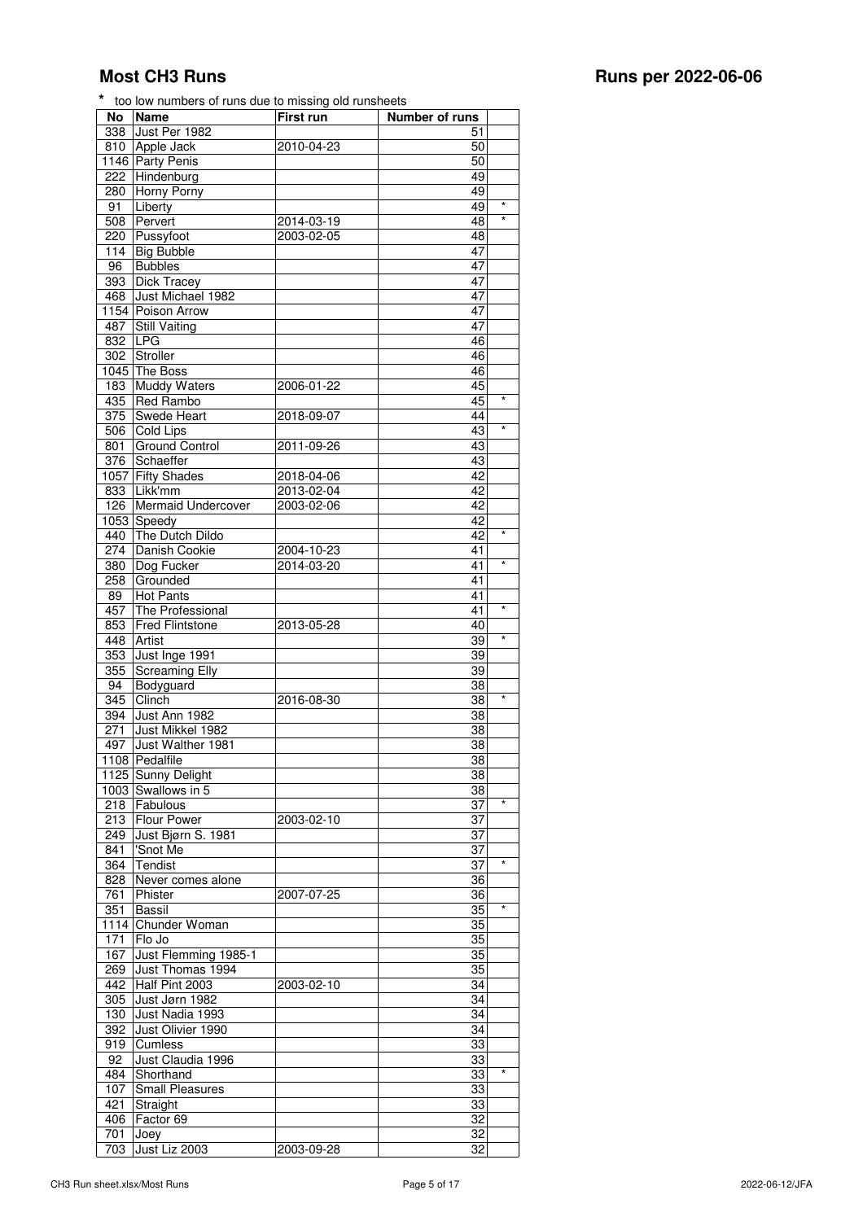| No   | <b>Name</b>            | First run  | <b>Number of runs</b> |            |
|------|------------------------|------------|-----------------------|------------|
| 338  | Just Per 1982          |            | 51                    |            |
| 810  | Apple Jack             | 2010-04-23 | 50                    |            |
|      | 1146 Party Penis       |            | 50                    |            |
|      |                        |            |                       |            |
| 222  | Hindenburg             |            | 49                    |            |
| 280  | Horny Porny            |            | 49                    |            |
| 91   | Liberty                |            | 49                    | $\star$    |
| 508  | Pervert                | 2014-03-19 | 48                    | $\star$    |
|      | 220 Pussyfoot          | 2003-02-05 | 48                    |            |
| 114  | <b>Big Bubble</b>      |            | 47                    |            |
|      |                        |            |                       |            |
| 96   | <b>Bubbles</b>         |            | 47                    |            |
| 393  | <b>Dick Tracey</b>     |            | 47                    |            |
| 468  | Just Michael 1982      |            | 47                    |            |
|      | 1154 Poison Arrow      |            | 47                    |            |
| 487  | <b>Still Vaiting</b>   |            | 47                    |            |
| 832  | <b>LPG</b>             |            | 46                    |            |
|      |                        |            | 46                    |            |
| 302  | Stroller               |            |                       |            |
| 1045 | The Boss               |            | 46                    |            |
| 183  | Muddy Waters           | 2006-01-22 | 45                    |            |
| 435  | Red Rambo              |            | 45                    | $^{\star}$ |
| 375  | Swede Heart            | 2018-09-07 | 44                    |            |
| 506  | Cold Lips              |            | 43                    | $\star$    |
|      |                        |            |                       |            |
| 801  | <b>Ground Control</b>  | 2011-09-26 | 43                    |            |
| 376  | Schaeffer              |            | 43                    |            |
|      | 1057 Fifty Shades      | 2018-04-06 | 42                    |            |
| 833  | Likk'mm                | 2013-02-04 | 42                    |            |
| 126  | Mermaid Undercover     | 2003-02-06 | 42                    |            |
|      |                        |            | 42                    |            |
| 1053 | Speedy                 |            |                       |            |
| 440  | The Dutch Dildo        |            | 42                    | $\star$    |
| 274  | Danish Cookie          | 2004-10-23 | 41                    |            |
| 380  | Dog Fucker             | 2014-03-20 | 41                    | $\star$    |
| 258  | Grounded               |            | 41                    |            |
| 89   | <b>Hot Pants</b>       |            | 41                    |            |
|      | The Professional       |            | 41                    | $\star$    |
| 457  |                        |            |                       |            |
| 853  | <b>Fred Flintstone</b> | 2013-05-28 | 40                    |            |
| 448  | Artist                 |            | 39                    | $\star$    |
| 353  | Just Inge 1991         |            | 39                    |            |
| 355  | <b>Screaming Elly</b>  |            | 39                    |            |
| 94   | Bodyguard              |            | 38                    |            |
| 345  | Clinch                 | 2016-08-30 | 38                    | $\star$    |
|      |                        |            |                       |            |
| 394  | Just Ann 1982          |            | 38                    |            |
| 271  | Just Mikkel 1982       |            | 38                    |            |
| 497  | Just Walther 1981      |            | 38                    |            |
|      | 1108 Pedalfile         |            | 38                    |            |
|      | 1125 Sunny Delight     |            | 38                    |            |
|      |                        |            |                       |            |
| 1003 | Swallows in 5          |            | 38                    |            |
| 218  | Fabulous               |            | 37                    | $\star$    |
| 213  | Flour Power            | 2003-02-10 | 37                    |            |
| 249  | Just Bjørn S. 1981     |            | 37                    |            |
| 841  | 'Snot Me               |            | 37                    |            |
| 364  | Tendist                |            | 37                    | $\star$    |
|      |                        |            |                       |            |
| 828  | Never comes alone      |            | 36                    |            |
| 761  | Phister                | 2007-07-25 | 36                    |            |
| 351  | Bassil                 |            | 35                    | $^{\star}$ |
| 1114 | Chunder Woman          |            | 35                    |            |
| 171  | Flo Jo                 |            | 35                    |            |
|      |                        |            |                       |            |
| 167  | Just Flemming 1985-1   |            | 35                    |            |
| 269  | Just Thomas 1994       |            | 35                    |            |
| 442  | Half Pint 2003         | 2003-02-10 | 34                    |            |
| 305  | Just Jørn 1982         |            | 34                    |            |
| 130  | Just Nadia 1993        |            | 34                    |            |
| 392  | Just Olivier 1990      |            | 34                    |            |
|      |                        |            |                       |            |
| 919  | Cumless                |            | 33                    |            |
| 92   | Just Claudia 1996      |            | 33                    |            |
| 484  | Shorthand              |            | 33                    | $\star$    |

 Shorthand 33 \* 107 Small Pleasures and the state of the state of the state of the state of the state of the state of the state of the state of the state of the state of the state of the state of the state of the state of the state of the 421 Straight 33<br>406 Factor 69 32 406 Factor 69 32<br>
701 Joey 32 1009 32<br>
1009 32<br>
2003-09-28 32<br>
2003-09-28 32

703 Just Liz 2003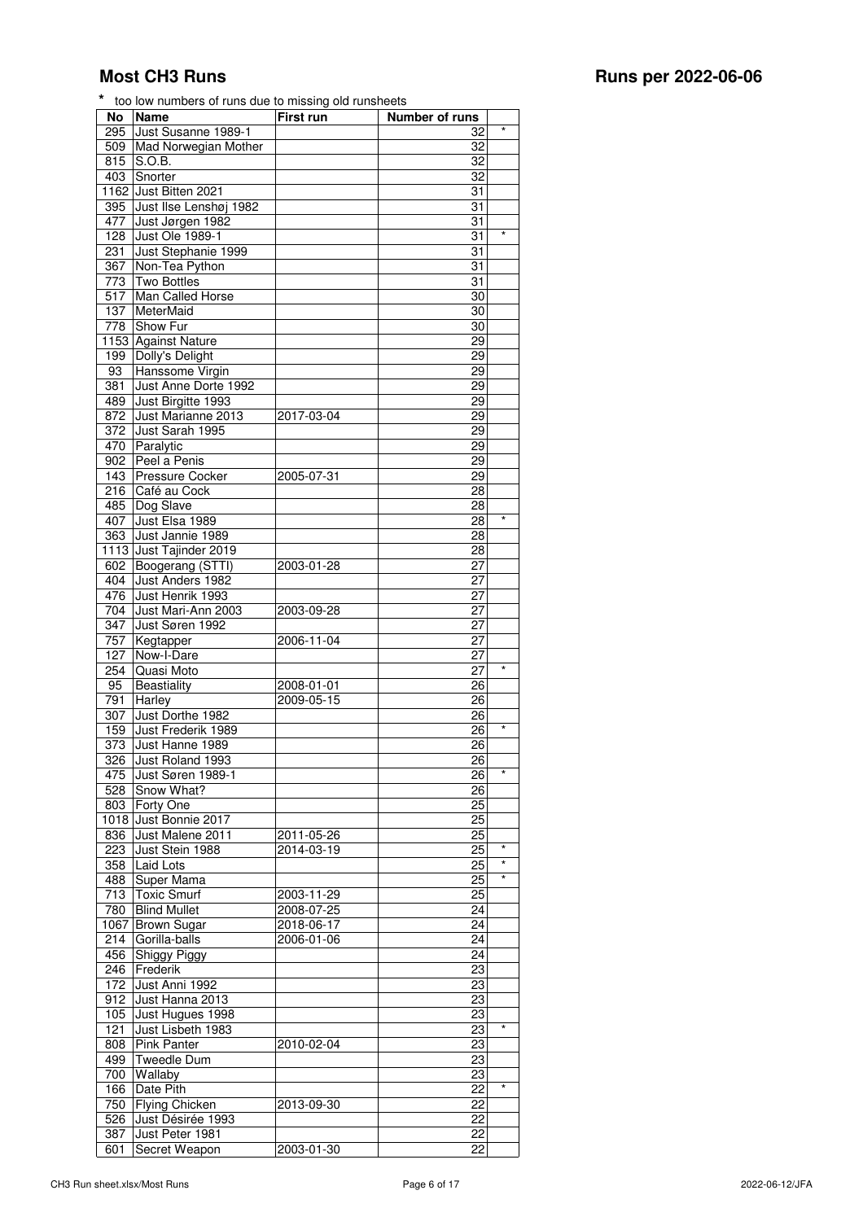| No                      | Name                                  | <b>First run</b> | Number of runs           |
|-------------------------|---------------------------------------|------------------|--------------------------|
| 295                     | Just Susanne 1989-1                   |                  | $\star$<br>32            |
| 509                     | Mad Norwegian Mother                  |                  | 32                       |
| 815                     | S.O.B.                                |                  | 32                       |
| 403                     | Snorter                               |                  | 32                       |
|                         | 1162 Just Bitten 2021                 |                  | 31                       |
| 395                     | Just Ilse Lenshøj 1982                |                  | 31                       |
| 477                     | Just Jørgen 1982                      |                  | 31                       |
| 128                     | Just Ole 1989-1                       |                  | $\star$<br>31            |
| 231                     | Just Stephanie 1999                   |                  | 31                       |
| 367                     | Non-Tea Python                        |                  | 31                       |
| 773                     | <b>Two Bottles</b>                    |                  | 31                       |
| 517                     | Man Called Horse                      |                  | 30                       |
| 137                     | MeterMaid                             |                  | 30                       |
| $\overline{778}$        | Show Fur                              |                  | 30                       |
|                         | 1153 Against Nature                   |                  | 29                       |
| 199                     | Dolly's Delight                       |                  | 29                       |
| 93                      | Hanssome Virgin                       |                  | 29                       |
| 381                     | Just Anne Dorte 1992                  |                  | 29                       |
| 489                     | Just Birgitte 1993                    |                  | 29                       |
| 872<br>$\overline{372}$ | Just Marianne 2013<br>Just Sarah 1995 | 2017-03-04       | 29<br>29                 |
| 470                     | Paralytic                             |                  | 29                       |
| 902                     | Peel a Penis                          |                  | 29                       |
| 143                     | Pressure Cocker                       | 2005-07-31       | 29                       |
| 216                     | Café au Cock                          |                  | 28                       |
| 485                     | Dog Slave                             |                  | 28                       |
| 407                     | Just Elsa 1989                        |                  | *<br>28                  |
| 363                     | Just Jannie 1989                      |                  | 28                       |
|                         | 1113 Just Tajinder 2019               |                  | 28                       |
| 602                     | Boogerang (STTI)                      | 2003-01-28       | 27                       |
| 404                     | Just Anders 1982                      |                  | 27                       |
| 476                     | Just Henrik 1993                      |                  | 27                       |
| 704                     | Just Mari-Ann 2003                    | 2003-09-28       | 27                       |
| 347                     | Just Søren 1992                       |                  | 27                       |
| 757                     | Kegtapper                             | 2006-11-04       | 27                       |
| 127                     | Now-I-Dare                            |                  | 27                       |
| 254                     | Quasi Moto                            |                  | *<br>27                  |
| 95                      | Beastiality                           | 2008-01-01       | 26                       |
| 791                     | Harley                                | 2009-05-15       | 26                       |
| 307                     | Just Dorthe 1982                      |                  | 26                       |
| 159                     | Just Frederik 1989                    |                  | *<br>26                  |
| 373                     | Just Hanne 1989                       |                  | 26                       |
| 326                     | Just Roland 1993                      |                  | 26                       |
| 475                     | Just Søren 1989-1                     |                  | $\star$<br>26            |
| 528                     | Snow What?                            |                  | 26                       |
| 803                     | Forty One                             |                  | 25                       |
|                         | 1018 Just Bonnie 2017                 |                  | 25                       |
| 836                     | Just Malene 2011                      | 2011-05-26       | 25                       |
| 223                     | Just Stein 1988                       | 2014-03-19       | $\star$<br>25<br>$\star$ |
| 358                     | Laid Lots                             |                  | 25<br>$\star$            |
| 488                     | Super Mama                            |                  | 25                       |
| 713                     | Toxic Smurf                           | 2003-11-29       | 25                       |
| 780                     | <b>Blind Mullet</b>                   | 2008-07-25       | 24                       |
|                         | 1067 Brown Sugar                      | 2018-06-17       | 24                       |
| 214                     | Gorilla-balls                         | 2006-01-06       | 24<br>24                 |
| 456                     | Shiggy Piggy<br>Frederik              |                  |                          |
| 246<br>172              | Just Anni 1992                        |                  | 23<br>23                 |
| 912                     | Just Hanna 2013                       |                  | 23                       |
| 105                     | Just Hugues 1998                      |                  | 23                       |
| 121                     | Just Lisbeth 1983                     |                  | $^{\star}$<br>23         |
| 808                     | Pink Panter                           | 2010-02-04       | 23                       |
| 499                     | <b>Tweedle Dum</b>                    |                  | 23                       |
| 700                     | Wallaby                               |                  | 23                       |
| 166                     | Date Pith                             |                  | $\star$<br>22            |
| 750                     | <b>Flying Chicken</b>                 | 2013-09-30       | 22                       |
| 526                     | Just Désirée 1993                     |                  | 22                       |
| 387                     | Just Peter 1981                       |                  | 22                       |
| 601                     | Secret Weapon                         | 2003-01-30       | 22                       |
|                         |                                       |                  |                          |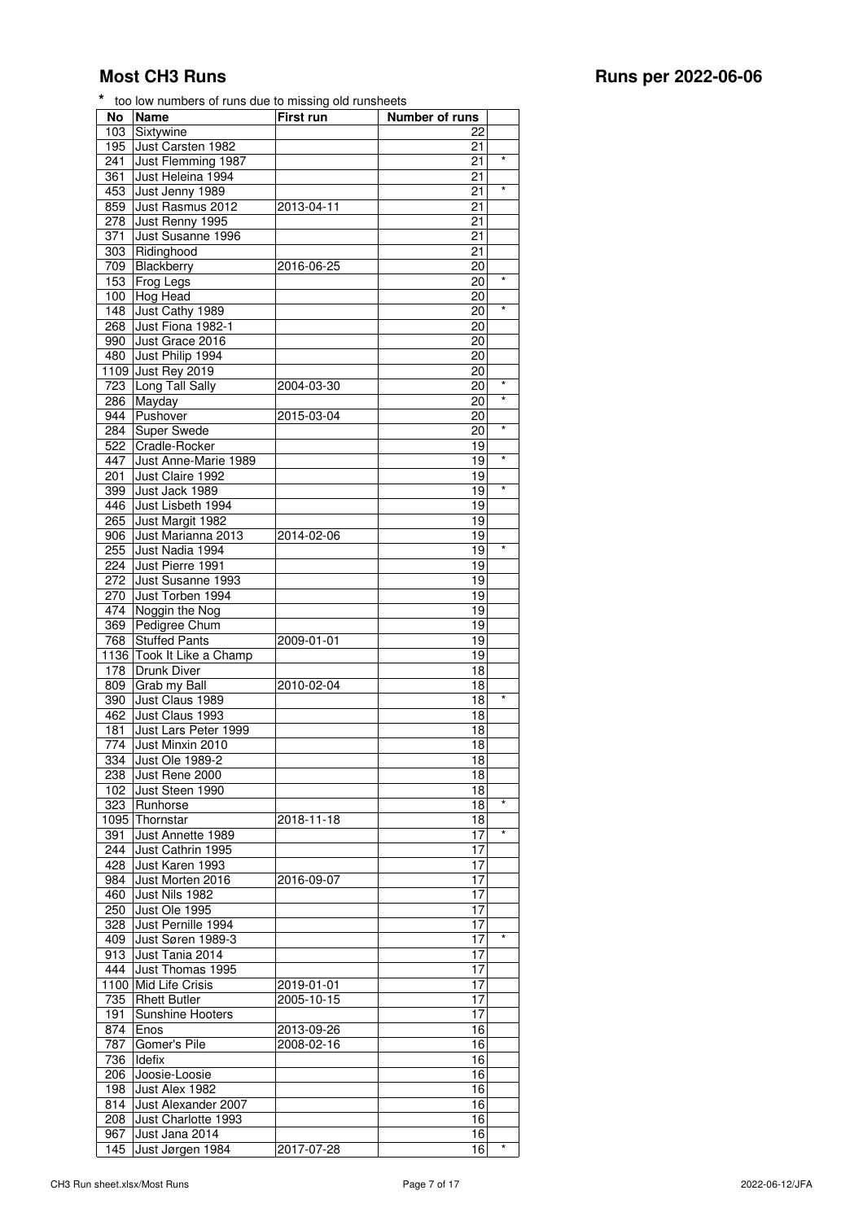| No               | Name                    | First run  | Number of runs |            |
|------------------|-------------------------|------------|----------------|------------|
| 103              | Sixtywine               |            | 22             |            |
| 195              | Just Carsten 1982       |            | 21             |            |
|                  |                         |            |                | $\star$    |
| 241              | Just Flemming 1987      |            | 21             |            |
| 361              | Just Heleina 1994       |            | 21             |            |
| 453              | Just Jenny 1989         |            | 21             | $\star$    |
| 859              | Just Rasmus 2012        | 2013-04-11 | 21             |            |
|                  |                         |            |                |            |
| 278              | Just Renny 1995         |            | 21             |            |
| 371              | Just Susanne 1996       |            | 21             |            |
| 303              | Ridinghood              |            | 21             |            |
|                  | Blackberry              |            | 20             |            |
| 709              |                         | 2016-06-25 |                |            |
| 153              | Frog Legs               |            | 20             | $\star$    |
| 100              | Hog Head                |            | 20             |            |
| 148              | Just Cathy 1989         |            | 20             | $\star$    |
| 268              | Just Fiona 1982-1       |            | 20             |            |
|                  |                         |            |                |            |
| 990              | Just Grace 2016         |            | 20             |            |
| 480              | Just Philip 1994        |            | 20             |            |
| 1109             | Just Rey 2019           |            | 20             |            |
|                  |                         |            |                | $\star$    |
| 723              | Long Tall Sally         | 2004-03-30 | 20             |            |
| 286              | Mayday                  |            | 20             | $\star$    |
| 944              | Pushover                | 2015-03-04 | 20             |            |
| 284              | <b>Super Swede</b>      |            | 20             | $\star$    |
|                  |                         |            |                |            |
| 522              | Cradle-Rocker           |            | 19             |            |
| 447              | Just Anne-Marie 1989    |            | 19             | $\star$    |
| 201              | Just Claire 1992        |            | 19             |            |
| 399              | Just Jack 1989          |            | 19             | $\star$    |
|                  |                         |            |                |            |
| 446              | Just Lisbeth 1994       |            | 19             |            |
| 265              | Just Margit 1982        |            | 19             |            |
| 906              | Just Marianna 2013      | 2014-02-06 | 19             |            |
| 255              | Just Nadia 1994         |            | 19             | $\star$    |
|                  |                         |            |                |            |
| 224              | Just Pierre 1991        |            | 19             |            |
| 272              | Just Susanne 1993       |            | 19             |            |
| 270              | Just Torben 1994        |            | 19             |            |
| 474              | Noggin the Nog          |            | 19             |            |
|                  |                         |            |                |            |
| 369              | Pedigree Chum           |            | 19             |            |
| 768              | <b>Stuffed Pants</b>    | 2009-01-01 | 19             |            |
| 1136             | Took It Like a Champ    |            | 19             |            |
| 178              | Drunk Diver             |            | 18             |            |
|                  |                         |            |                |            |
| 809              | Grab my Ball            | 2010-02-04 | 18             |            |
| 390              | Just Claus 1989         |            | 18             | $\star$    |
| 462              | Just Claus 1993         |            | 18             |            |
|                  |                         |            | 18             |            |
| 181              | Just Lars Peter 1999    |            |                |            |
| 774              | Just Minxin 2010        |            | 18             |            |
| 334              | Just Ole 1989-2         |            | 18             |            |
| 238              | Just Rene 2000          |            | 18             |            |
|                  |                         |            |                |            |
| 102              | Just Steen 1990         |            | 18             |            |
| 323              | Runhorse                |            | 18             | $\star$    |
| 1095             | Thornstar               | 2018-11-18 | 18             |            |
| 391              | Just Annette 1989       |            | 17             | $\star$    |
|                  |                         |            |                |            |
| 244              | Just Cathrin 1995       |            | 17             |            |
| 428              | Just Karen 1993         |            | 17             |            |
| 984              | Just Morten 2016        | 2016-09-07 | 17             |            |
| 460              | Just Nils 1982          |            | 17             |            |
|                  |                         |            |                |            |
| $\overline{250}$ | Just Ole 1995           |            | 17             |            |
| 328              | Just Pernille 1994      |            | 17             |            |
| 409              | Just Søren 1989-3       |            | 17             | $^{\star}$ |
| 913              | Just Tania 2014         |            | 17             |            |
|                  |                         |            |                |            |
| 444              | Just Thomas 1995        |            | 17             |            |
| 1100             | Mid Life Crisis         | 2019-01-01 | 17             |            |
| 735              | <b>Rhett Butler</b>     | 2005-10-15 | 17             |            |
|                  |                         |            |                |            |
| 191              | <b>Sunshine Hooters</b> |            | 17             |            |
| 874              | Enos                    | 2013-09-26 | 16             |            |
| 787              | Gomer's Pile            | 2008-02-16 | 16             |            |
| 736              | Idefix                  |            | 16             |            |
|                  |                         |            |                |            |
| 206              | Joosie-Loosie           |            | 16             |            |
| 198              | Just Alex 1982          |            | 16             |            |
| 814              | Just Alexander 2007     |            | 16             |            |
| 208              | Just Charlotte 1993     |            | 16             |            |
|                  |                         |            |                |            |

 Just Jana 2014 16 145 Just Jørgen 1984 2017-07-28 16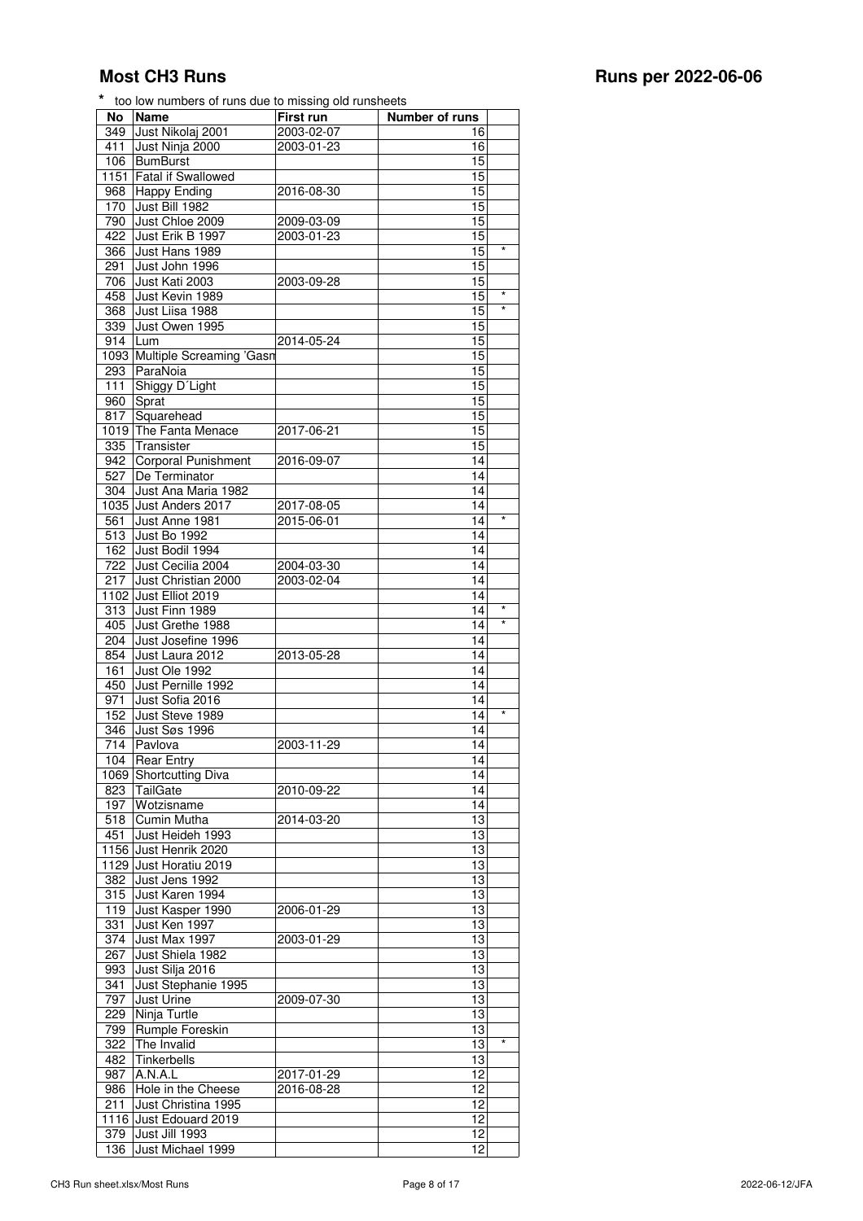| No               | <b>Name</b>                   | First run        | <b>Number of runs</b> |         |
|------------------|-------------------------------|------------------|-----------------------|---------|
| 349              | Just Nikolaj 2001             | 2003-02-07       | 16                    |         |
| 411              | Just Ninja 2000               | 2003-01-23       | 16                    |         |
| 106              | BumBurst                      |                  | 15                    |         |
| 1151             | <b>Fatal if Swallowed</b>     |                  | 15                    |         |
|                  |                               | 2016-08-30       | 15                    |         |
| 968              | <b>Happy Ending</b>           |                  |                       |         |
| 170              | Just Bill 1982                |                  | 15                    |         |
| 790              | Just Chloe 2009               | 2009-03-09       | 15                    |         |
| 422              | Just Erik B 1997              | 2003-01-23       | 15                    |         |
| 366              | Just Hans 1989                |                  | 15                    | $\star$ |
| 291              | Just John 1996                |                  | 15                    |         |
| 706              | Just Kati 2003                | 2003-09-28       | 15                    |         |
| 458              | Just Kevin 1989               |                  | 15                    | $\star$ |
| 368              | Just Liisa 1988               |                  | 15                    | $\star$ |
|                  |                               |                  |                       |         |
| 339              | Just Owen 1995                |                  | 15                    |         |
| 914              | Lum                           | 2014-05-24       | 15                    |         |
|                  | 1093 Multiple Screaming 'Gasn |                  | 15                    |         |
| 293              | ParaNoia                      |                  | 15                    |         |
| $\overline{1}11$ | Shiggy D'Light                |                  | 15                    |         |
| 960              | Sprat                         |                  | 15                    |         |
| 817              | Squarehead                    |                  | 15                    |         |
|                  |                               |                  |                       |         |
|                  | 1019 The Fanta Menace         | 2017-06-21       | 15                    |         |
| 335              | Transister                    |                  | 15                    |         |
| 942              | <b>Corporal Punishment</b>    | 2016-09-07       | 14                    |         |
| 527              | De Terminator                 |                  | 14                    |         |
| 304              | Just Ana Maria 1982           |                  | 14                    |         |
|                  | 1035 Just Anders 2017         | 2017-08-05       | 14                    |         |
| 561              | Just Anne 1981                | $2015 - 06 - 01$ | 14                    | $\star$ |
| 513              | Just Bo 1992                  |                  | 14                    |         |
|                  |                               |                  |                       |         |
| 162              | Just Bodil 1994               |                  | 14                    |         |
| 722              | Just Cecilia 2004             | 2004-03-30       | 14                    |         |
| 217              | Just Christian 2000           | 2003-02-04       | 14                    |         |
|                  | 1102 Just Elliot 2019         |                  | 14                    |         |
| 313              | Just Finn 1989                |                  | 14                    |         |
| 405              | Just Grethe 1988              |                  | 14                    | $\star$ |
| 204              | Just Josefine 1996            |                  | 14                    |         |
| 854              | Just Laura 2012               | 2013-05-28       | 14                    |         |
|                  |                               |                  |                       |         |
| 161              | Just Ole 1992                 |                  | 14                    |         |
| 450              | Just Pernille 1992            |                  | 14                    |         |
| 971              | Just Sofia 2016               |                  | 14                    |         |
| 152              | Just Steve 1989               |                  | 14                    | $\star$ |
| 346              | Just Søs 1996                 |                  | 14                    |         |
| 714              | Pavlova                       | 2003-11-29       | 14                    |         |
| 104              | Rear Entry                    |                  | 14                    |         |
|                  |                               |                  |                       |         |
|                  | 1069 Shortcutting Diva        |                  | 14                    |         |
| 823              | TailGate                      | 2010-09-22       | 14                    |         |
| 197              | Wotzisname                    |                  | 14                    |         |
| 518              | Cumin Mutha                   | 2014-03-20       | 13                    |         |
| 451              | Just Heideh 1993              |                  | 13                    |         |
| 1156             | Just Henrik 2020              |                  | 13                    |         |
|                  | 1129 Just Horatiu 2019        |                  | 13                    |         |
| 382              | Just Jens 1992                |                  | 13                    |         |
| 315              | Just Karen 1994               |                  | 13                    |         |
|                  |                               |                  |                       |         |
| 119              | Just Kasper 1990              | 2006-01-29       | 13                    |         |
| 331              | Just Ken 1997                 |                  | 13                    |         |
| 374              | Just Max 1997                 | 2003-01-29       | 13                    |         |
| 267              | Just Shiela 1982              |                  | 13                    |         |
| 993              | Just Silja 2016               |                  | 13                    |         |
| 341              | Just Stephanie 1995           |                  | 13                    |         |
| 797              | Just Urine                    | 2009-07-30       | 13                    |         |
| 229              | Ninja Turtle                  |                  | 13                    |         |
|                  |                               |                  |                       |         |
| 799              | Rumple Foreskin               |                  | 13                    |         |
| 322              | The Invalid                   |                  | 13                    |         |
| 482              | Tinkerbells                   |                  | 13                    |         |
| 987              | A.N.A.L                       | 2017-01-29       | 12                    |         |
| 986              | Hole in the Cheese            | 2016-08-28       | 12                    |         |
| 211              | Just Christina 1995           |                  | 12                    |         |
| 1116             | Just Edouard 2019             |                  | 12                    |         |
|                  |                               |                  |                       |         |
| 379              | Just Jill 1993                |                  | 12                    |         |
| 136              | Just Michael 1999             |                  | 12                    |         |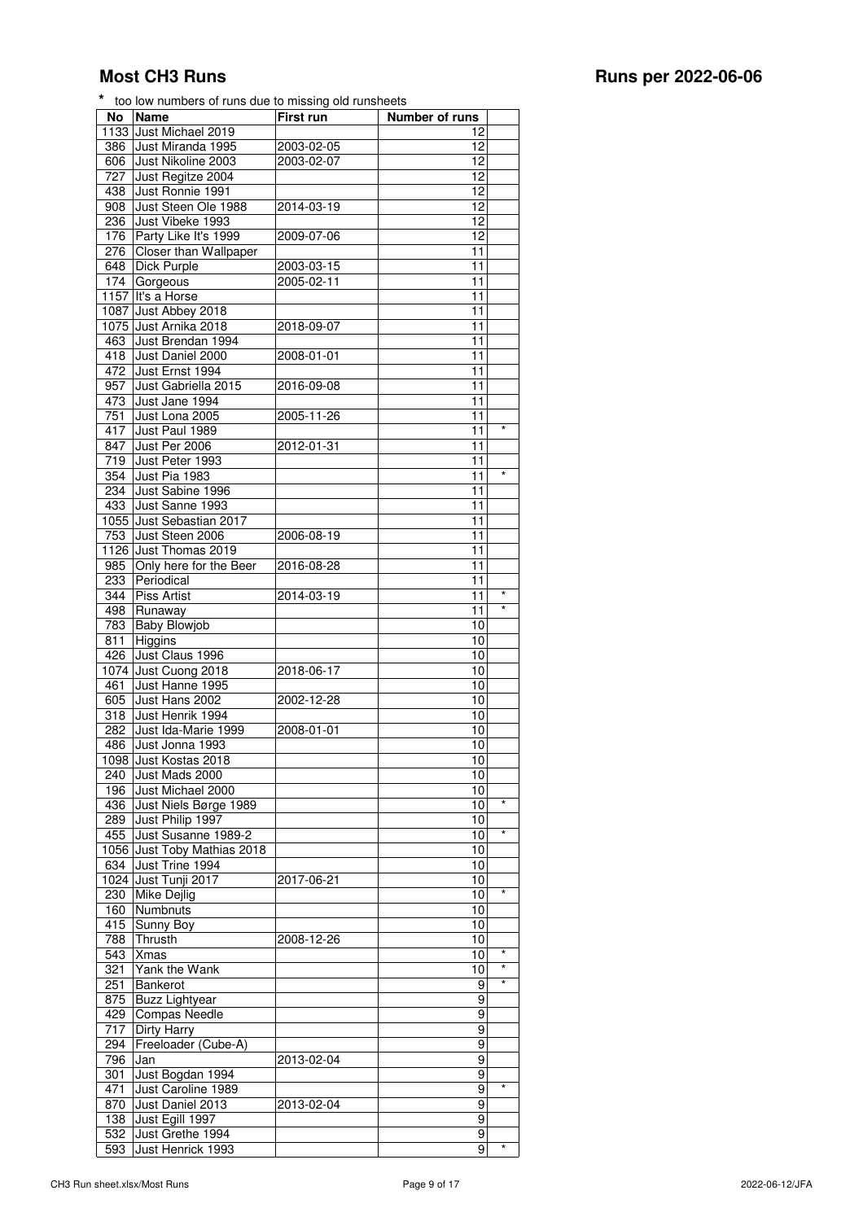| No               | <b>Name</b>                                   | <b>First run</b> | Number of runs    |
|------------------|-----------------------------------------------|------------------|-------------------|
|                  | 1133 Just Michael 2019                        |                  | 12                |
| 386              | Just Miranda 1995                             | 2003-02-05       | 12                |
| 606              | Just Nikoline 2003                            | 2003-02-07       | 12                |
| 727              | Just Regitze 2004                             |                  | 12                |
| 438              | Just Ronnie 1991                              |                  | 12                |
| 908              | Just Steen Ole 1988                           | 2014-03-19       | 12                |
| 236              | Just Vibeke 1993                              |                  | 12                |
| 176              | Party Like It's 1999                          | 2009-07-06       | 12                |
| 276              | Closer than Wallpaper                         |                  | 11                |
| 648              | Dick Purple                                   | 2003-03-15       | 11                |
| 174              | Gorgeous                                      | 2005-02-11       | 11                |
| 1157             | It's a Horse                                  |                  | 11                |
| 1087             | Just Abbey 2018                               |                  | 11                |
|                  | 1075 Just Arnika 2018                         | 2018-09-07       | 11                |
| 463<br>418       | Just Brendan 1994<br>Just Daniel 2000         |                  | 11<br>11          |
| 472              | Just Ernst 1994                               | 2008-01-01       | 11                |
| 957              | Just Gabriella 2015                           | 2016-09-08       | 11                |
| 473              | Just Jane 1994                                |                  | 11                |
| 751              | Just Lona 2005                                | 2005-11-26       | 11                |
| 417              | Just Paul 1989                                |                  | $\star$<br>11     |
| 847              | Just Per 2006                                 | 2012-01-31       | 11                |
| $\overline{719}$ | Just Peter 1993                               |                  | 11                |
| 354              | Just Pia 1983                                 |                  | 11                |
| 234              | Just Sabine 1996                              |                  | 11                |
| 433              | Just Sanne 1993                               |                  | 11                |
| 1055             | Just Sebastian 2017                           |                  | 11                |
| 753              | Just Steen 2006                               | 2006-08-19       | 11                |
|                  | 1126 Just Thomas 2019                         |                  | 11                |
| 985              | Only here for the Beer                        | 2016-08-28       | 11                |
| 233              | Periodical                                    |                  | 11                |
| 344              | <b>Piss Artist</b>                            | 2014-03-19       | $\star$<br>11     |
| 498              | Runaway                                       |                  | $\star$<br>11     |
| 783              | <b>Baby Blowjob</b>                           |                  | 10                |
| 811              | Higgins                                       |                  | 10                |
| 426              | Just Claus 1996                               |                  | 10                |
|                  | 1074 Just Cuong 2018                          | 2018-06-17       | 10                |
| 461              | Just Hanne 1995                               |                  | 10                |
| 605              | Just Hans 2002                                | 2002-12-28       | 10                |
| 318              | Just Henrik 1994                              |                  | 10                |
| 282              | Just Ida-Marie 1999                           | 2008-01-01       | 10                |
| 486              | Just Jonna 1993                               |                  | 10                |
|                  | 1098 Just Kostas 2018                         |                  | 10                |
| 240              | Just Mads 2000                                |                  | 10                |
| 196              | Just Michael 2000                             |                  | 10                |
| 436              | Just Niels Børge 1989                         |                  | $\star$<br>10     |
| 289              | Just Philip 1997                              |                  | 10                |
| 455              | Just Susanne 1989-2                           |                  | $\star$<br>10     |
|                  | 1056 Just Toby Mathias 2018                   |                  | 10                |
| 634              | Just Trine 1994                               |                  | 10                |
|                  | 1024 Just Tunji 2017                          | 2017-06-21       | 10<br>$\star$     |
| 230              | Mike Dejlig                                   |                  | 10                |
| 160              | Numbnuts                                      |                  | 10                |
| 415              | Sunny Boy                                     |                  | 10                |
| 788              | Thrusth                                       | 2008-12-26       | 10<br>$^{\star}$  |
| 543              | <b>Xmas</b>                                   |                  | 10<br>$\star$     |
| 321<br>251       | Yank the Wank                                 |                  | 10<br>$\star$     |
|                  | <b>Bankerot</b>                               |                  | 9                 |
| 875              | <b>Buzz Lightyear</b><br><b>Compas Needle</b> |                  | 9                 |
| 429              |                                               |                  | 9                 |
| 717              | Dirty Harry                                   |                  | 9                 |
| 294              | Freeloader (Cube-A)                           |                  | 9<br>9            |
| 796              | Jan                                           | 2013-02-04       |                   |
| 301<br>471       | Just Bogdan 1994<br>Just Caroline 1989        |                  | 9<br>9<br>$\star$ |
|                  |                                               |                  |                   |
| 870              | Just Daniel 2013<br>Just Egill 1997           | 2013-02-04       | 9<br>9            |
| 138<br>532       | Just Grethe 1994                              |                  | 9                 |
| 593              | Just Henrick 1993                             |                  | $^{\star}$<br>9   |
|                  |                                               |                  |                   |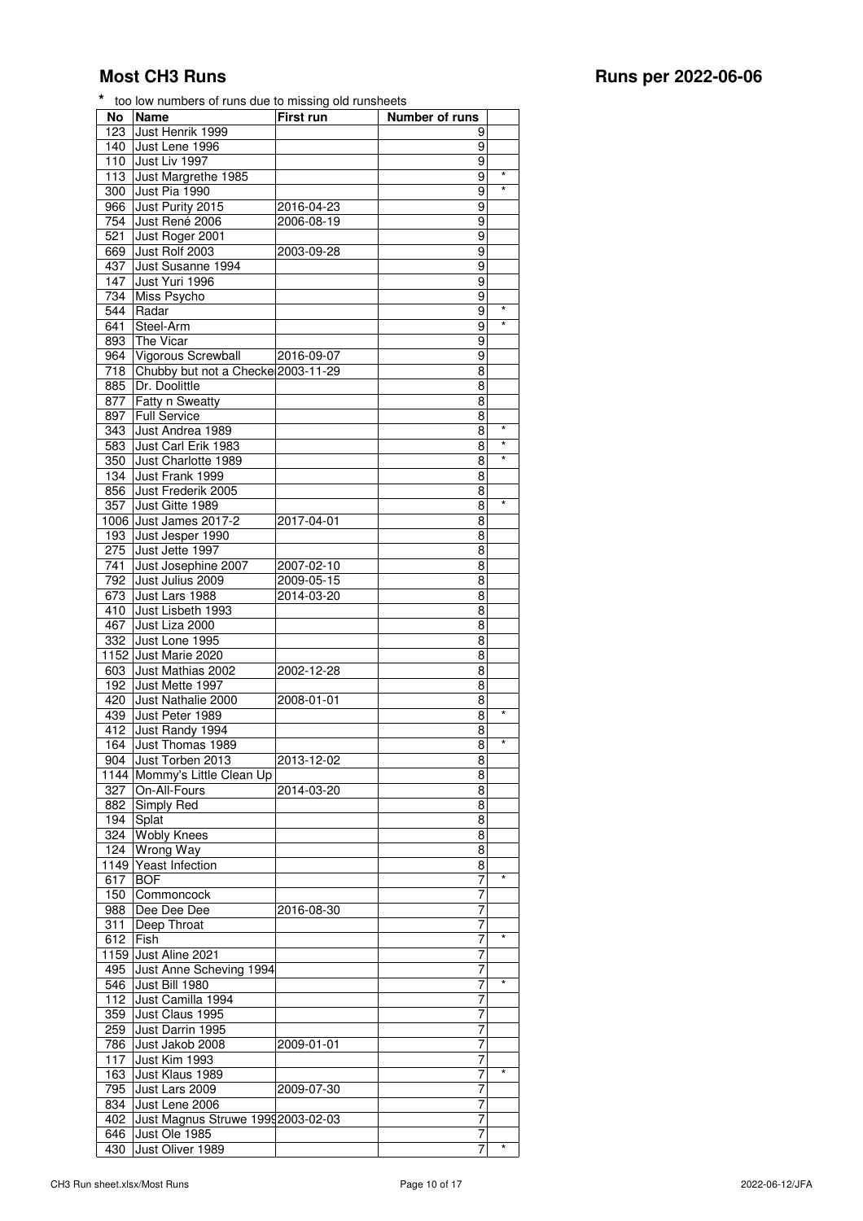| No               | <b>Name</b>                        | First run  | Number of runs |            |
|------------------|------------------------------------|------------|----------------|------------|
| $\overline{123}$ | Just Henrik 1999                   |            | 9              |            |
| 140              | Just Lene 1996                     |            | 9              |            |
| 110              | Just Liv 1997                      |            | 9              |            |
| 113              | Just Margrethe 1985                |            | 9              | $\star$    |
| 300              | Just Pia 1990                      |            | 9              |            |
| 966              | Just Purity 2015                   | 2016-04-23 | 9              |            |
| 754              | Just René 2006                     | 2006-08-19 | 9              |            |
| 521              | Just Roger 2001                    |            | 9              |            |
| 669              | Just Rolf 2003                     | 2003-09-28 | 9              |            |
| 437              | Just Susanne 1994                  |            | 9              |            |
| 147              | Just Yuri 1996                     |            | 9              |            |
| 734              | Miss Psycho                        |            | 9              |            |
| 544              | Radar                              |            | 9              | $\star$    |
| 641              | Steel-Arm                          |            | 9              | $\star$    |
|                  |                                    |            |                |            |
| 893              | The Vicar                          |            | 9              |            |
| 964              | Vigorous Screwball                 | 2016-09-07 | 9              |            |
| 718              | Chubby but not a Checke 2003-11-29 |            | 8              |            |
| 885              | Dr. Doolittle                      |            | 8              |            |
| 877              | Fatty n Sweatty                    |            | 8              |            |
| 897              | <b>Full Service</b>                |            | 8              |            |
| 343              | Just Andrea 1989                   |            | 8              | $\star$    |
| 583              | Just Carl Erik 1983                |            | 8              | $\star$    |
| 350              | Just Charlotte 1989                |            | 8              | $\star$    |
| 134              | Just Frank 1999                    |            | 8              |            |
| 856              | Just Frederik 2005                 |            | 8              |            |
| 357              | Just Gitte 1989                    |            | 8              | $\star$    |
|                  | 1006 Just James 2017-2             | 2017-04-01 | 8              |            |
| 193              | Just Jesper 1990                   |            | 8              |            |
| $\overline{275}$ | Just Jette 1997                    |            | 8              |            |
| 741              | Just Josephine 2007                | 2007-02-10 | 8              |            |
| 792              | Just Julius 2009                   | 2009-05-15 | 8              |            |
| 673              | Just Lars 1988                     | 2014-03-20 | 8              |            |
| $\overline{410}$ | Just Lisbeth 1993                  |            | 8              |            |
|                  |                                    |            |                |            |
| 467              | Just Liza 2000                     |            | 8              |            |
| 332              | Just Lone 1995                     |            | 8              |            |
|                  | 1152 Just Marie 2020               |            | 8              |            |
| 603              | Just Mathias 2002                  | 2002-12-28 | 8              |            |
| 192              | Just Mette 1997                    |            | 8              |            |
| 420              | Just Nathalie 2000                 | 2008-01-01 | 8              |            |
| 439              | Just Peter 1989                    |            | 8              | $\star$    |
| 412              | Just Randy 1994                    |            | 8              |            |
| 164              | Just Thomas 1989                   |            | 8              | $\star$    |
|                  | 904 Just Torben 2013               | 2013-12-02 | 8              |            |
|                  | 1144 Mommy's Little Clean Up       |            | 8              |            |
|                  | 327 On-All-Fours                   | 2014-03-20 | 8              |            |
|                  | 882 Simply Red                     |            | 8              |            |
|                  | 194 Splat                          |            | 8              |            |
|                  | 324 Wobly Knees                    |            | 8              |            |
| 124              | <b>Wrong Way</b>                   |            | 8              |            |
|                  | 1149 Yeast Infection               |            | 8              |            |
| 617              |                                    |            |                | $^{\star}$ |
|                  | <b>BOF</b>                         |            | 7              |            |
| 150              | Commoncock                         |            | 7              |            |
| 988              | Dee Dee Dee                        | 2016-08-30 | 7              |            |
| 311              | Deep Throat                        |            | 7              |            |
| 612              | Fish                               |            | 7              | *          |
|                  | 1159 Just Aline 2021               |            | 7              |            |
| 495              | Just Anne Scheving 1994            |            | 7              |            |
| 546              | Just Bill 1980                     |            | 7              | $\star$    |
| 112              | Just Camilla 1994                  |            | 7              |            |
| 359              | Just Claus 1995                    |            | 7              |            |
| 259              | Just Darrin 1995                   |            | 7              |            |
| 786              | Just Jakob 2008                    | 2009-01-01 | 7              |            |
| 117              | Just Kim 1993                      |            | 7              |            |
| 163              | Just Klaus 1989                    |            | 7              | $\star$    |
| 795              | Just Lars 2009                     | 2009-07-30 | 7              |            |
|                  |                                    |            |                |            |
| 834              | Just Lene 2006                     |            | 7              |            |
| 402              | Just Magnus Struwe 19992003-02-03  |            | 7              |            |
| 646              | Just Ole 1985                      |            | 7              |            |
| 430              | Just Oliver 1989                   |            | 7              | $^{\star}$ |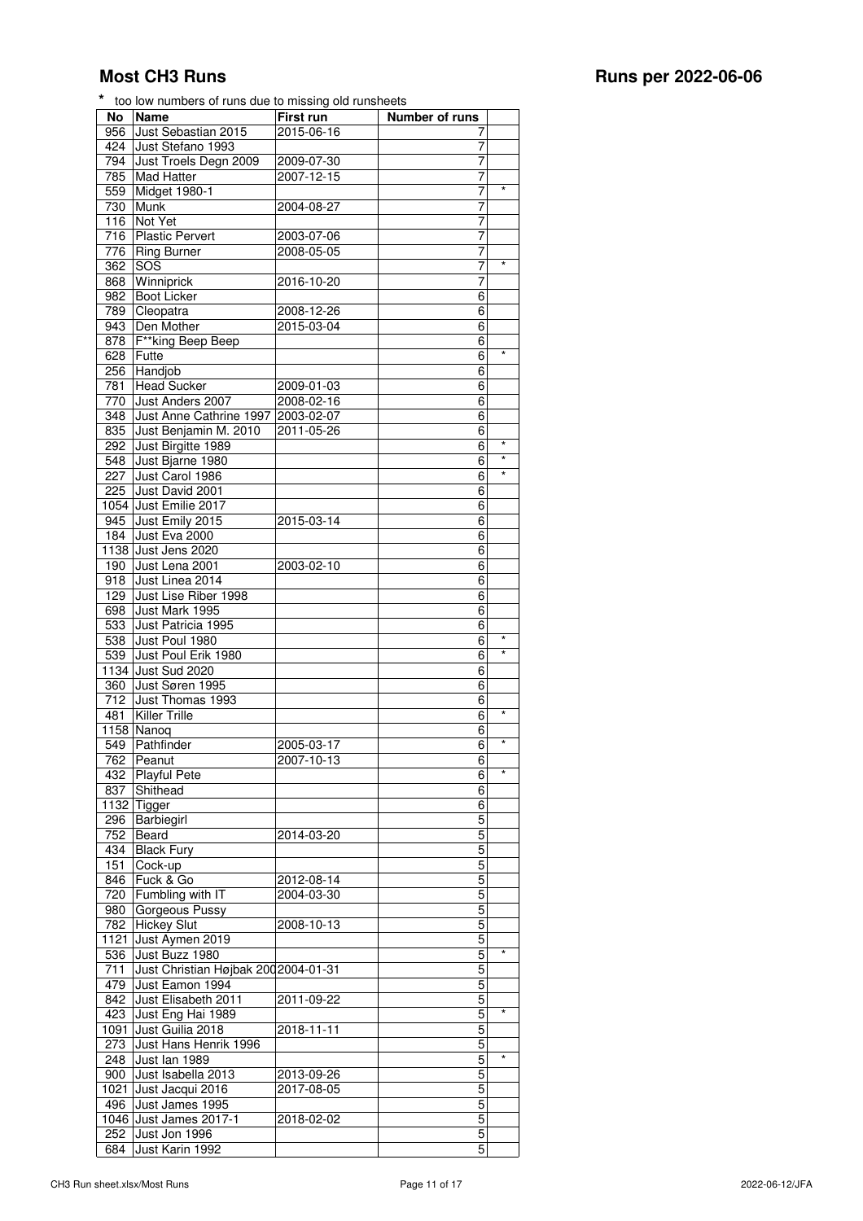712 Just Thomas 1993

846 Fuck & Go

 Just Poul 1980 6 \* 539 Just Poul Erik 1980 6 \* Just Sud 2020 6 Just Søren 1995 6

481 Killer Trille **6 6** 1158 Nanoq 6<br>
549 Pathfinder 2005-03-17 6 549 Pathfinder 2005-03-17 6 \* 762 Peanut 2007-10-13 6 432 Playful Pete 6 6 837 Shithead 6 1132 Tigger 6 296 Barbiegirl 5 752 Beard 2014-03-20 5 434 Black Fury 5<br>151 Cock-up 5 151 Cock-up 5<br>846 Fuck & Go 2012-08-14 5

720 Fumbling with IT 2004-03-30 5 980 Gorgeous Pussy 5 782 Hickey Slut 2008-10-13 5 1121 Just Aymen 2019 5 536 Just Buzz 1980 **5** 711 Just Christian Højbak 200 2004-01-31 5 479 Just Eamon 1994 5 842 Just Elisabeth 2011 2011-09-22 5 423 Just Eng Hai 1989 **5** 1091 Just Guilia 2018 2018-11-11 7 273 Just Hans Henrik 1996 **5 1248 Just Ian 1989** 5 1248 Just Ian 1989 5 12 248 Just Ian 1989<br>
2013 - 900 Just Isabella 2013 - 2013-09-26 900 Just Isabella 2013 2013-09-26 5 1021 Just Jacqui 2016 2017-08-05 7 496 Just James 1995<br>1046 Just James 2017-1 2018-02-02<br>5 1046 Just James 2017-1 2018-02-02 75 252 Just Jon 1996 552 State Just Aring to the State State State State State State State State State State State State State State State State State State State State State State State State State State State State State St

|     | <b>Most CH3 Runs</b>                                   |                  |                |         | Runs per 2022-06-06 |
|-----|--------------------------------------------------------|------------------|----------------|---------|---------------------|
|     | * too low numbers of runs due to missing old runsheets |                  |                |         |                     |
| No  | <b>Name</b>                                            | <b>First run</b> | Number of runs |         |                     |
|     | 956 Just Sebastian 2015                                | 2015-06-16       | 7              |         |                     |
|     | 424 Just Stefano 1993                                  |                  | 7              |         |                     |
|     | 794 Just Troels Degn 2009                              | 2009-07-30       | 7              |         |                     |
|     | 785 Mad Hatter                                         | 2007-12-15       | 7              |         |                     |
|     | 559 Midget 1980-1                                      |                  | $\overline{7}$ |         |                     |
|     | 730 Munk                                               | 2004-08-27       | 7              |         |                     |
|     | 116 Not Yet                                            |                  | 7              |         |                     |
|     | 716 Plastic Pervert                                    | 2003-07-06       | 7              |         |                     |
|     | 776   Ring Burner                                      | 2008-05-05       | $\overline{7}$ |         |                     |
|     | 362 SOS                                                |                  | 7              |         |                     |
|     | 868 Winniprick                                         | 2016-10-20       | 7              |         |                     |
|     | 982 Boot Licker                                        |                  | 6              |         |                     |
|     | 789 Cleopatra                                          | 2008-12-26       | $\overline{6}$ |         |                     |
|     | 943 Den Mother                                         | 2015-03-04       | 6              |         |                     |
|     | 878   F**king Beep Beep                                |                  | 6              |         |                     |
|     | 628 Futte                                              |                  | 6              | $\star$ |                     |
|     | 256 Handjob                                            |                  | 6              |         |                     |
| 781 | <b>Head Sucker</b>                                     | 2009-01-03       | 6              |         |                     |
|     | 770 Just Anders 2007                                   | 2008-02-16       | 6              |         |                     |
|     | 348 Just Anne Cathrine 1997 2003-02-07                 |                  | 6              |         |                     |
|     | 835 Just Benjamin M. 2010                              | 2011-05-26       | 6              |         |                     |
|     | 292 Just Birgitte 1989                                 |                  | 6              | $\star$ |                     |
|     | 548 Just Bjarne 1980                                   |                  | 6              | $\star$ |                     |
| 227 | Just Carol 1986                                        |                  | 6              | $\star$ |                     |
|     | 225 Just David 2001                                    |                  | $\overline{6}$ |         |                     |
|     | 1054 Just Emilie 2017                                  |                  | 6              |         |                     |
|     | 945 Just Emily 2015                                    | 2015-03-14       | $\overline{6}$ |         |                     |
|     | 184 Just Eva 2000                                      |                  | 6              |         |                     |
|     | 1138 Just Jens 2020                                    |                  | 6              |         |                     |
|     | 190 Just Lena 2001                                     | 2003-02-10       | 6              |         |                     |
|     | 918 Just Linea 2014                                    |                  | 6              |         |                     |
|     | 129 Just Lise Riber 1998                               |                  | 6              |         |                     |
|     | 698 Just Mark 1995                                     |                  | 6              |         |                     |
| 533 | Just Patricia 1995                                     |                  | 6              |         |                     |

684 Just Karin 1992 5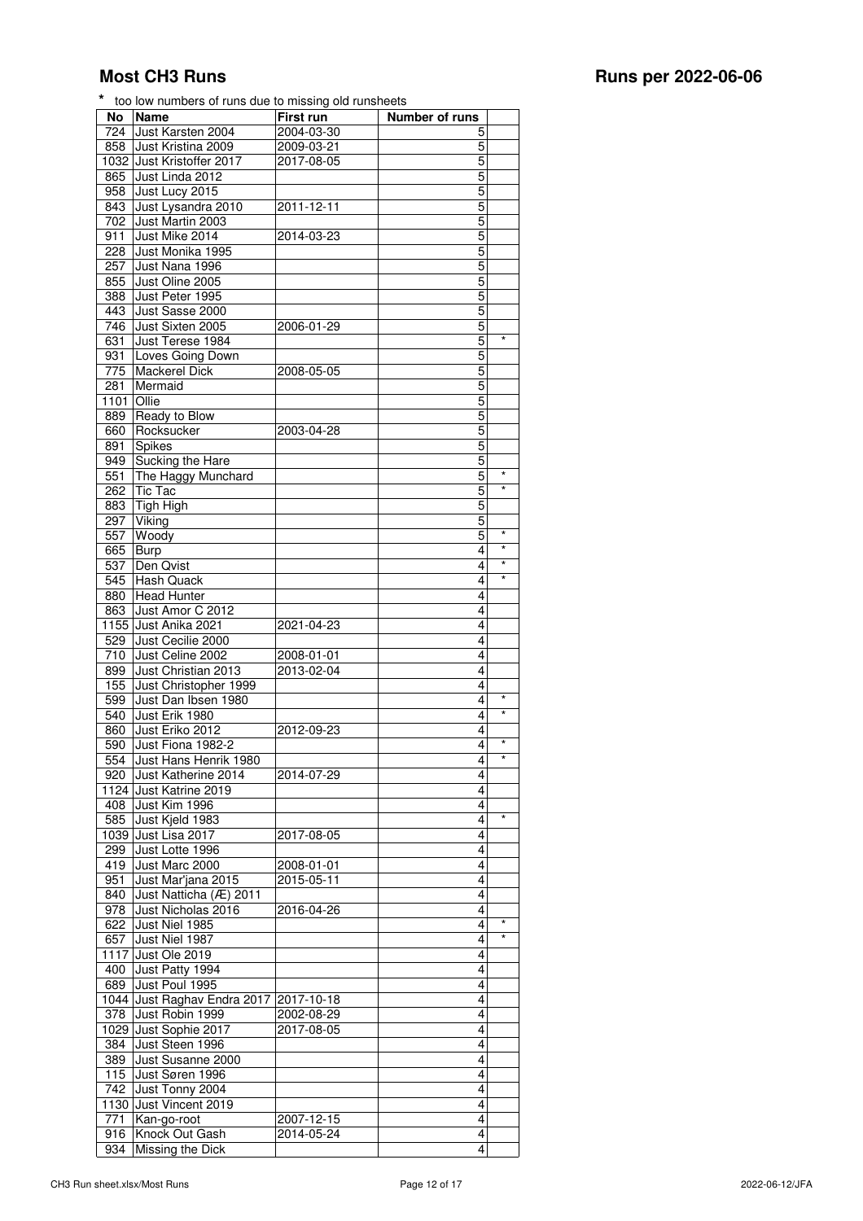| No   | <b>Name</b>               | First run  | Number of runs |            |
|------|---------------------------|------------|----------------|------------|
| 724  | Just Karsten 2004         | 2004-03-30 | 5              |            |
| 858  | Just Kristina 2009        | 2009-03-21 | 5              |            |
|      | 1032 Just Kristoffer 2017 | 2017-08-05 | 5              |            |
|      |                           |            |                |            |
| 865  | Just Linda 2012           |            | 5              |            |
| 958  | Just Lucy 2015            |            | 5              |            |
| 843  | Just Lysandra 2010        | 2011-12-11 | 5              |            |
| 702  | Just Martin 2003          |            | 5              |            |
|      |                           |            |                |            |
| 911  | Just Mike 2014            | 2014-03-23 | 5              |            |
| 228  | Just Monika 1995          |            | 5              |            |
| 257  | Just Nana 1996            |            | 5              |            |
|      |                           |            |                |            |
| 855  | Just Oline 2005           |            | 5              |            |
| 388  | Just Peter 1995           |            | 5              |            |
| 443  | Just Sasse 2000           |            | 5              |            |
| 746  | Just Sixten 2005          | 2006-01-29 | 5              |            |
|      | Just Terese 1984          |            | 5              |            |
| 631  |                           |            |                |            |
| 931  | Loves Going Down          |            | 5              |            |
| 775  | <b>Mackerel Dick</b>      | 2008-05-05 | 5              |            |
| 281  | Mermaid                   |            | 5              |            |
|      | Ollie                     |            | 5              |            |
| 1101 |                           |            |                |            |
| 889  | Ready to Blow             |            | 5              |            |
| 660  | Rocksucker                | 2003-04-28 | 5              |            |
| 891  | Spikes                    |            | 5              |            |
|      |                           |            |                |            |
| 949  | Sucking the Hare          |            | 5              |            |
| 551  | The Haggy Munchard        |            | 5              | $\star$    |
| 262  | Tic Tac                   |            | 5              | $\star$    |
| 883  | Tigh High                 |            | 5              |            |
|      |                           |            | 5              |            |
| 297  | Viking                    |            |                |            |
| 557  | Woody                     |            | 5              | $\star$    |
| 665  | <b>Burp</b>               |            | 4              | $\star$    |
| 537  | Den Qvist                 |            | 4              | $\star$    |
|      |                           |            |                | $\star$    |
| 545  | <b>Hash Quack</b>         |            | 4              |            |
| 880  | <b>Head Hunter</b>        |            | 4              |            |
| 863  | Just Amor C 2012          |            | 4              |            |
| 1155 | Just Anika 2021           | 2021-04-23 | 4              |            |
|      |                           |            |                |            |
| 529  | Just Cecilie 2000         |            | 4              |            |
| 710  | Just Celine 2002          | 2008-01-01 | 4              |            |
| 899  | Just Christian 2013       | 2013-02-04 | 4              |            |
| 155  | Just Christopher 1999     |            | 4              |            |
|      |                           |            |                | $\star$    |
| 599  | Just Dan Ibsen 1980       |            | 4              |            |
| 540  | Just Erik 1980            |            | 4              |            |
| 860  | Just Eriko 2012           | 2012-09-23 | 4              |            |
| 590  |                           |            | 4              | $^\star$   |
|      | Just Fiona 1982-2         |            |                | $\star$    |
| 554  | Just Hans Henrik 1980     |            | 4              |            |
| 920  | Just Katherine 2014       | 2014-07-29 | 4              |            |
|      | 1124 Just Katrine 2019    |            | 4              |            |
| 408  |                           |            | 4              |            |
|      | Just Kim 1996             |            |                | $\star$    |
| 585  | Just Kjeld 1983           |            | 4              |            |
| 1039 | Just Lisa 2017            | 2017-08-05 | 4              |            |
| 299  | Just Lotte 1996           |            | 4              |            |
| 419  | Just Marc 2000            | 2008-01-01 | 4              |            |
|      |                           |            |                |            |
| 951  | Just Mar'jana 2015        | 2015-05-11 | 4              |            |
| 840  | Just Natticha (Æ) 2011    |            | 4              |            |
| 978  | Just Nicholas 2016        | 2016-04-26 | 4              |            |
|      |                           |            |                | $^{\star}$ |
| 622  | Just Niel 1985            |            | 4              |            |
| 657  | Just Niel 1987            |            | 4              | $\star$    |
| 1117 | Just Ole 2019             |            | $\overline{4}$ |            |
| 400  | Just Patty 1994           |            | 4              |            |
|      |                           |            |                |            |
| 689  | Just Poul 1995            |            | 4              |            |
| 1044 | Just Raghav Endra 2017    | 2017-10-18 | $\overline{4}$ |            |
| 378  | Just Robin 1999           | 2002-08-29 | 4              |            |
|      |                           |            |                |            |
| 1029 | Just Sophie 2017          | 2017-08-05 | 4              |            |
| 384  | Just Steen 1996           |            | 4              |            |
| 389  | Just Susanne 2000         |            | 4              |            |
| 115  | Just Søren 1996           |            | 4              |            |
|      |                           |            |                |            |
| 742  | Just Tonny 2004           |            | 4              |            |
| 1130 | Just Vincent 2019         |            | 4              |            |
| 771  | Kan-go-root               | 2007-12-15 | 4              |            |

916 Knock Out Gash 2014-05-24 4<br>934 Missing the Dick 4

934 Missing the Dick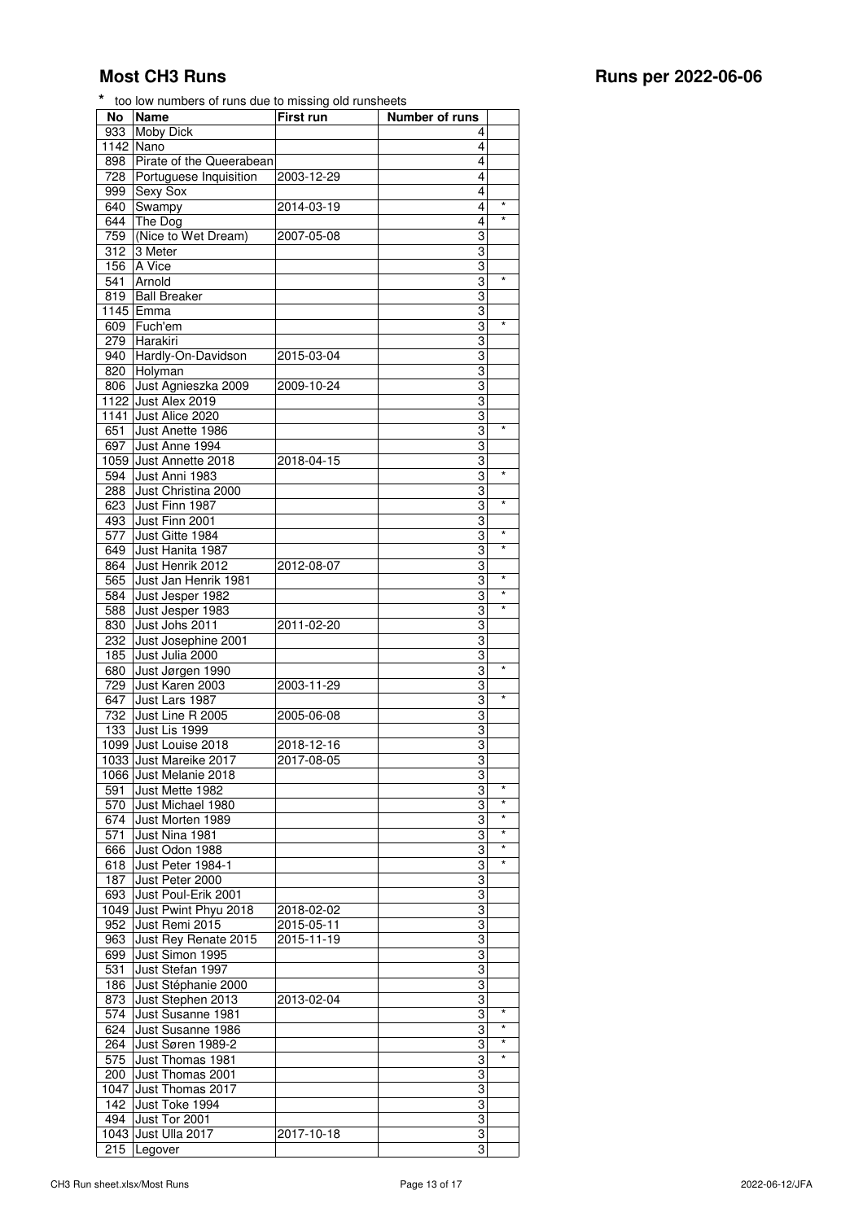| No        | <b>Name</b>              | First run  | Number of runs |            |
|-----------|--------------------------|------------|----------------|------------|
| 933       | <b>Moby Dick</b>         |            | 4              |            |
| 1142 Nano |                          |            | 4              |            |
| 898       | Pirate of the Queerabean |            | 4              |            |
| 728       | Portuguese Inquisition   | 2003-12-29 | 4              |            |
| 999       | Sexy Sox                 |            | 4              |            |
| 640       | Swampy                   | 2014-03-19 | 4              | $\star$    |
| 644       | The Dog                  |            | 4              | $\star$    |
| 759       | (Nice to Wet Dream)      | 2007-05-08 | 3              |            |
| 312       | 3 Meter                  |            | 3              |            |
| 156       | A Vice                   |            | 3              |            |
| 541       | Arnold                   |            | 3              | $\star$    |
| 819       | <b>Ball Breaker</b>      |            | 3              |            |
| 1145      | Emma                     |            | 3              |            |
|           |                          |            | 3              | $^{\star}$ |
| 609       | Fuch'em                  |            |                |            |
| 279       | Harakiri                 |            | 3              |            |
|           | 940 Hardly-On-Davidson   | 2015-03-04 | 3              |            |
|           | 820 Holyman              |            | 3              |            |
| 806       | Just Agnieszka 2009      | 2009-10-24 | 3              |            |
|           | 1122 Just Alex 2019      |            | 3              |            |
|           | 1141 Just Alice 2020     |            | 3              |            |
| 651       | Just Anette 1986         |            | 3              | $^{\star}$ |
| 697       | Just Anne 1994           |            | 3              |            |
|           | 1059 Just Annette 2018   | 2018-04-15 | 3              |            |
| 594       | Just Anni 1983           |            | 3              | $\star$    |
| 288       | Just Christina 2000      |            | 3              |            |
| 623       | Just Finn 1987           |            | 3              | $\star$    |
| 493       | Just Finn 2001           |            | 3              |            |
| 577       | Just Gitte 1984          |            | 3              | $\star$    |
| 649       | Just Hanita 1987         |            | 3              | $\star$    |
| 864       | Just Henrik 2012         | 2012-08-07 | 3              |            |
| 565       | Just Jan Henrik 1981     |            | 3              | $\star$    |
| 584       | Just Jesper 1982         |            | 3              | $\star$    |
| 588       | Just Jesper 1983         |            | 3              | $^{\star}$ |
| 830       | Just Johs 2011           | 2011-02-20 | 3              |            |
| 232       | Just Josephine 2001      |            | 3              |            |
|           | Just Julia 2000          |            |                |            |
| 185       |                          |            | 3              | $^{\star}$ |
| 680       | Just Jørgen 1990         |            | 3              |            |
| 729       | Just Karen 2003          | 2003-11-29 | 3              | $^{\star}$ |
| 647       | Just Lars 1987           |            | 3              |            |
| 732       | Just Line R 2005         | 2005-06-08 | 3              |            |
|           | 133 Just Lis 1999        |            | 3              |            |
|           | 1099 Just Louise 2018    | 2018-12-16 | 3              |            |
|           | 1033 Just Mareike 2017   | 2017-08-05 | 3              |            |
|           | 1066 Just Melanie 2018   |            | 3              |            |
| 591       | Just Mette 1982          |            | 3              | $\star$    |
| 570       | Just Michael 1980        |            | 3              | $\star$    |
| 674       | Just Morten 1989         |            | 3              | $\star$    |
| 571       | Just Nina 1981           |            | 3              | $\star$    |
| 666       | Just Odon 1988           |            | 3              | $\star$    |
| 618       | Just Peter 1984-1        |            | 3              | *          |
| 187       | Just Peter 2000          |            | 3              |            |
| 693       | Just Poul-Erik 2001      |            | 3              |            |
| 1049      | Just Pwint Phyu 2018     | 2018-02-02 | 3              |            |
| 952       | Just Remi 2015           | 2015-05-11 | 3              |            |
| 963       | Just Rey Renate 2015     | 2015-11-19 | 3              |            |
|           |                          |            | 3              |            |
| 699       | Just Simon 1995          |            |                |            |
| 531       | Just Stefan 1997         |            | 3              |            |
| 186       | Just Stéphanie 2000      |            | 3              |            |
| 873       | Just Stephen 2013        | 2013-02-04 | 3              |            |
| 574       | Just Susanne 1981        |            | 3              | *          |
| 624       | Just Susanne 1986        |            | 3              | $\star$    |

264 Just Søren 1989-2 3 \*<br>575 Just Thomas 1981 3 \* Just Thomas 1981 3 \* Just Thomas 2001 3 1047 Just Thomas 2017 **3** 142 Just Toke 1994<br>142 Just Toke 1994<br>194 Just Tor 2001 3 1043 Just Tor 2001 2017-10-18<br>1043 Just Ulla 2017 2017-10-18 1043 Just Ulla 2017 2017-10-18 2017<br>215 Legover 3

215 Legover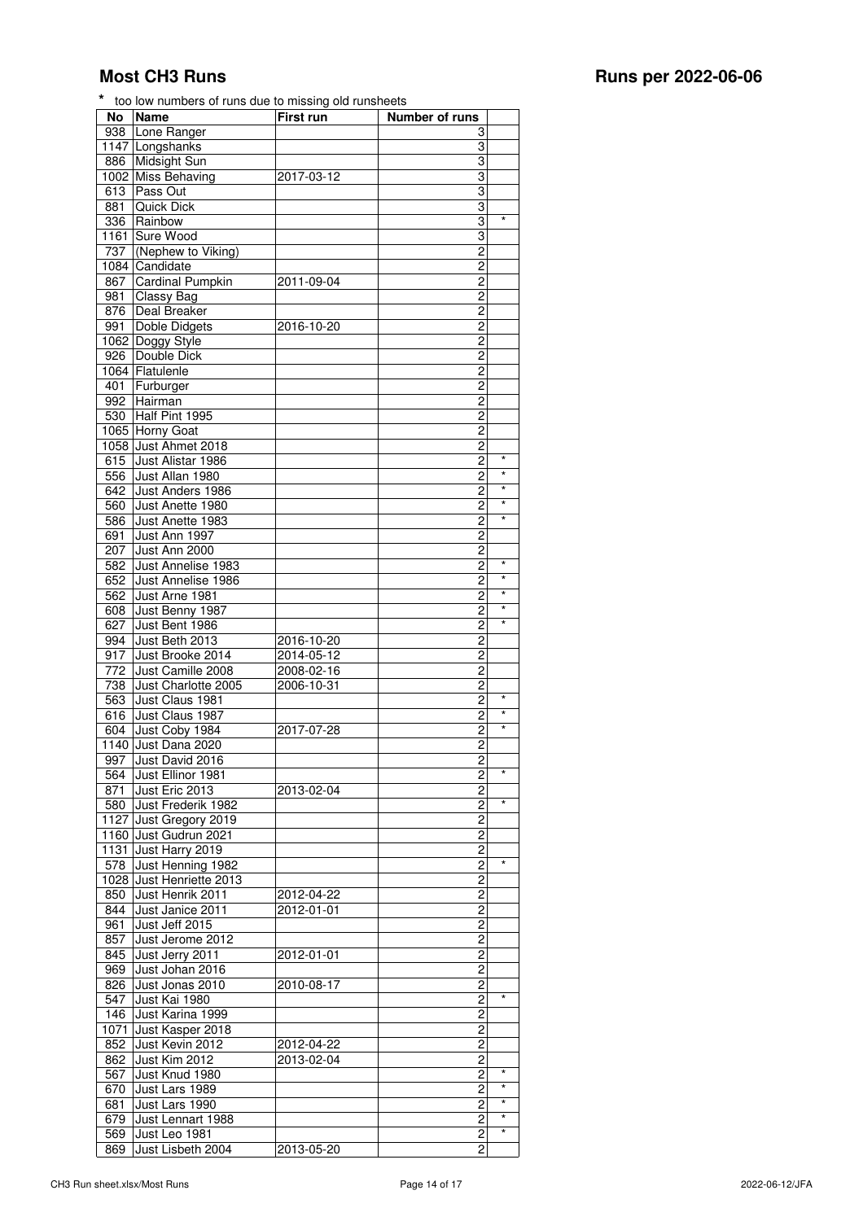| No   | <b>Name</b>              | First run  | <b>Number of runs</b>                     |            |
|------|--------------------------|------------|-------------------------------------------|------------|
| 938  | Lone Ranger              |            | 3                                         |            |
|      | 1147 Longshanks          |            | 3                                         |            |
| 886  | Midsight Sun             |            | 3                                         |            |
|      | 1002 Miss Behaving       | 2017-03-12 | 3                                         |            |
| 613  | Pass Out                 |            | 3                                         |            |
| 881  | <b>Quick Dick</b>        |            | 3                                         |            |
| 336  | Rainbow                  |            | 3                                         | $\star$    |
| 1161 | Sure Wood                |            | 3                                         |            |
| 737  | (Nephew to Viking)       |            | $\overline{c}$                            |            |
|      | 1084 Candidate           |            | $\overline{c}$                            |            |
| 867  | <b>Cardinal Pumpkin</b>  | 2011-09-04 | 2                                         |            |
| 981  | Classy Bag               |            | $\overline{\mathbf{c}}$                   |            |
| 876  | Deal Breaker             |            | $\overline{2}$                            |            |
| 991  | Doble Didgets            | 2016-10-20 | $\overline{c}$                            |            |
|      |                          |            |                                           |            |
|      | 1062 Doggy Style         |            | 2                                         |            |
| 926  | Double Dick              |            | $\overline{c}$                            |            |
|      | 1064 Flatulenle          |            | $\overline{c}$                            |            |
| 401  | Furburger                |            | 2                                         |            |
|      | 992 Hairman              |            | $\overline{c}$                            |            |
| 530  | Half Pint 1995           |            | $\overline{2}$                            |            |
|      | 1065 Horny Goat          |            | 2                                         |            |
| 1058 | Just Ahmet 2018          |            | 2                                         |            |
| 615  | Just Alistar 1986        |            | $\overline{c}$                            | $\star$    |
| 556  | Just Allan 1980          |            | $\overline{c}$                            | $^{\star}$ |
| 642  | Just Anders 1986         |            | 2                                         | $\star$    |
| 560  | Just Anette 1980         |            | $\overline{\mathbf{c}}$                   | $^{\star}$ |
| 586  | Just Anette 1983         |            | $\overline{2}$                            | $\star$    |
| 691  | Just Ann 1997            |            | 2                                         |            |
| 207  | Just Ann 2000            |            | 2                                         |            |
| 582  | Just Annelise 1983       |            | $\overline{2}$                            | $\star$    |
| 652  | Just Annelise 1986       |            | $\overline{2}$                            | $\star$    |
| 562  | Just Arne 1981           |            | 2                                         | $\star$    |
| 608  | Just Benny 1987          |            | $\overline{\mathbf{c}}$                   | $\star$    |
| 627  | Just Bent 1986           |            | $\overline{2}$                            | $\star$    |
| 994  | Just Beth 2013           | 2016-10-20 | $\overline{c}$                            |            |
| 917  | Just Brooke 2014         | 2014-05-12 | 2                                         |            |
|      |                          |            |                                           |            |
| 772  | Just Camille 2008        | 2008-02-16 | $\overline{\mathbf{c}}$                   |            |
| 738  | Just Charlotte 2005      | 2006-10-31 | $\overline{2}$                            | $\star$    |
| 563  | Just Claus 1981          |            | $\overline{c}$                            | $\star$    |
| 616  | Just Claus 1987          |            | 2                                         |            |
| 604  | Just Coby 1984           | 2017-07-28 | $\overline{c}$                            | $\star$    |
|      | 1140 Just Dana 2020      |            | $\overline{c}$                            |            |
| 997  | Just David 2016          |            | $\overline{c}$                            |            |
|      | 564 Just Ellinor 1981    |            | $\overline{c}$                            | $\star$    |
| 871  | Just Eric 2013           | 2013-02-04 | $\overline{c}$                            |            |
|      | 580 Just Frederik 1982   |            | 2                                         | $\star$    |
|      | 1127 Just Gregory 2019   |            | 2                                         |            |
|      | 1160 Just Gudrun 2021    |            | 2                                         |            |
|      | 1131 Just Harry 2019     |            | $\overline{c}$                            |            |
| 578  | Just Henning 1982        |            | 2                                         | $\star$    |
|      | 1028 Just Henriette 2013 |            | 2                                         |            |
| 850  | Just Henrik 2011         | 2012-04-22 | $\overline{2}$                            |            |
| 844  | Just Janice 2011         | 2012-01-01 | $\overline{c}$                            |            |
| 961  | Just Jeff 2015           |            | 2                                         |            |
|      |                          |            |                                           |            |
| 857  | Just Jerome 2012         |            | $\overline{\mathbf{c}}$<br>$\overline{2}$ |            |
| 845  | Just Jerry 2011          | 2012-01-01 |                                           |            |
| 969  | Just Johan 2016          |            | $\overline{c}$                            |            |
| 826  | Just Jonas 2010          | 2010-08-17 | 2                                         | $\star$    |
| 547  | Just Kai 1980            |            | $\overline{2}$                            |            |
| 146  | Just Karina 1999         |            | $\overline{\mathbf{c}}$                   |            |
| 1071 | Just Kasper 2018         |            | 2                                         |            |
| 852  | Just Kevin 2012          | 2012-04-22 | $\overline{c}$                            |            |
| 862  | Just Kim 2012            | 2013-02-04 | $\overline{\mathbf{c}}$                   |            |
| 567  | Just Knud 1980           |            | $\overline{\mathbf{c}}$                   | *          |
| 670  | Just Lars 1989           |            | 2                                         | $\star$    |
| 681  | Just Lars 1990           |            | $\overline{c}$                            | $\star$    |
| 679  | Just Lennart 1988        |            | $\overline{2}$                            | $\star$    |
| 569  | Just Leo 1981            |            | 2                                         | $\star$    |
| 869  | Just Lisbeth 2004        | 2013-05-20 | 2                                         |            |
|      |                          |            |                                           |            |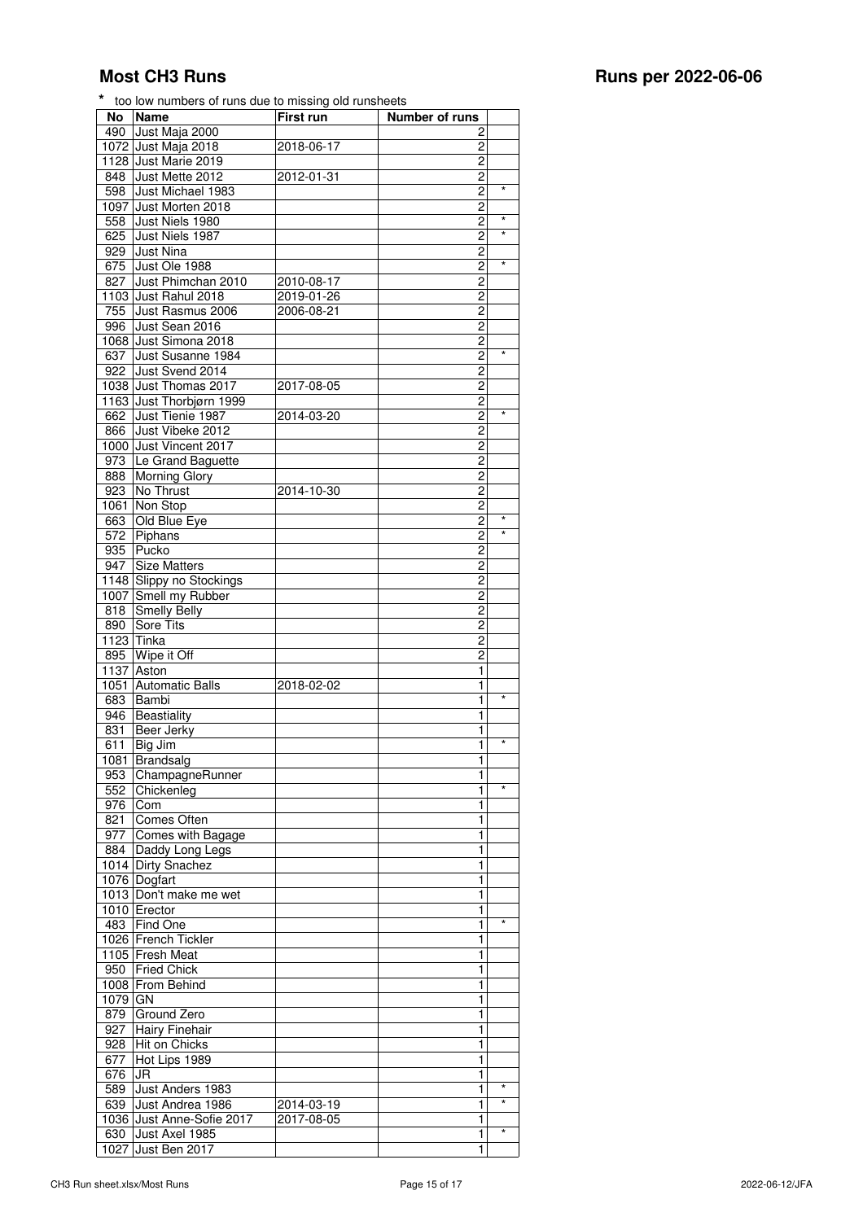| No      | <b>Name</b>              | First run  | Number of runs |         |
|---------|--------------------------|------------|----------------|---------|
| 490     | Just Maja 2000           |            | 2              |         |
|         | 1072 Just Maja 2018      | 2018-06-17 | 2              |         |
|         | 1128 Just Marie 2019     |            | 2              |         |
| 848     | Just Mette 2012          | 2012-01-31 | 2              |         |
| 598     | Just Michael 1983        |            | $\overline{c}$ | $\star$ |
|         | 1097 Just Morten 2018    |            | $\overline{c}$ |         |
| 558     | Just Niels 1980          |            | $\overline{c}$ | $\star$ |
| 625     | Just Niels 1987          |            | 2              | $\star$ |
|         | <b>Just Nina</b>         |            | $\overline{c}$ |         |
| 929     |                          |            |                | $\star$ |
| 675     | Just Ole 1988            |            | 2              |         |
| 827     | Just Phimchan 2010       | 2010-08-17 | 2              |         |
|         | 1103 Just Rahul 2018     | 2019-01-26 | $\overline{c}$ |         |
| 755     | Just Rasmus 2006         | 2006-08-21 | $\overline{c}$ |         |
| 996     | Just Sean 2016           |            | $\overline{c}$ |         |
|         | 1068 Just Simona 2018    |            | $\overline{c}$ |         |
| 637     | Just Susanne 1984        |            | $\overline{c}$ | $\star$ |
| 922     | Just Svend 2014          |            | 2              |         |
|         | 1038 Just Thomas 2017    | 2017-08-05 | 2              |         |
|         | 1163 Just Thorbjørn 1999 |            | $\overline{c}$ |         |
|         | Just Tienie 1987         |            | $\overline{c}$ | $\star$ |
| 662     | Just Vibeke 2012         | 2014-03-20 |                |         |
| 866     |                          |            | 2              |         |
|         | 1000 Just Vincent 2017   |            | 2              |         |
|         | 973 Le Grand Baguette    |            | $\overline{c}$ |         |
| 888     | <b>Morning Glory</b>     |            | $\overline{c}$ |         |
| 923     | No Thrust                | 2014-10-30 | 2              |         |
|         | 1061 Non Stop            |            | 2              |         |
| 663     | Old Blue Eye             |            | $\overline{c}$ | $\star$ |
| 572     | Piphans                  |            | $\overline{c}$ | $\star$ |
| 935     | Pucko                    |            | 2              |         |
| 947     | <b>Size Matters</b>      |            | 2              |         |
|         |                          |            | $\overline{c}$ |         |
|         | 1148 Slippy no Stockings |            |                |         |
| 1007    | Smell my Rubber          |            | $\overline{c}$ |         |
| 818     | Smelly Belly             |            | $\overline{c}$ |         |
| 890     | Sore Tits                |            | $\overline{c}$ |         |
|         | 1123 Tinka               |            | 2              |         |
| 895     | Wipe it Off              |            | 2              |         |
|         | 1137 Aston               |            | 1              |         |
|         | 1051 Automatic Balls     | 2018-02-02 | 1              |         |
| 683     | Bambi                    |            | 1              | $\star$ |
| 946     | Beastiality              |            | 1              |         |
| 831     | Beer Jerky               |            | 1              |         |
|         |                          |            |                | $\star$ |
| 611     | Big Jim                  |            | 1              |         |
|         | 1081 Brandsalg           |            | 1              |         |
| 953     | ChampagneRunner          |            | 1              |         |
| 552     | Chickenleg               |            | 1              | $\star$ |
| 976     | Com                      |            | 1              |         |
| 821     | Comes Often              |            | 1              |         |
| 977     | Comes with Bagage        |            | 1              |         |
| 884     | Daddy Long Legs          |            | $\mathbf{1}$   |         |
|         | 1014 Dirty Snachez       |            | 1              |         |
|         | 1076 Dogfart             |            | 1              |         |
|         |                          |            | 1              |         |
|         | 1013 Don't make me wet   |            |                |         |
|         | 1010 Erector             |            | 1              |         |
| 483     | Find One                 |            | 1              | $\star$ |
|         | 1026 French Tickler      |            | 1              |         |
|         | 1105 Fresh Meat          |            | 1              |         |
| 950     | <b>Fried Chick</b>       |            | $\mathbf{1}$   |         |
|         | 1008 From Behind         |            | 1              |         |
| 1079 GN |                          |            | $\mathbf{1}$   |         |
| 879     | Ground Zero              |            | 1              |         |
|         |                          |            |                |         |
| 927     | <b>Hairy Finehair</b>    |            | 1              |         |
| 928     | Hit on Chicks            |            | 1              |         |
| 677     | Hot Lips 1989            |            | 1              |         |
| 676     | JR                       |            | 1              |         |
| 589     | Just Anders 1983         |            | 1              |         |
| 639     | Just Andrea 1986         | 2014-03-19 | 1              | $\star$ |

1036 Just Anne-Sofie 2017 2017-08-05 Just Axel 1985 1 \* 1027 Just Ben 2017 1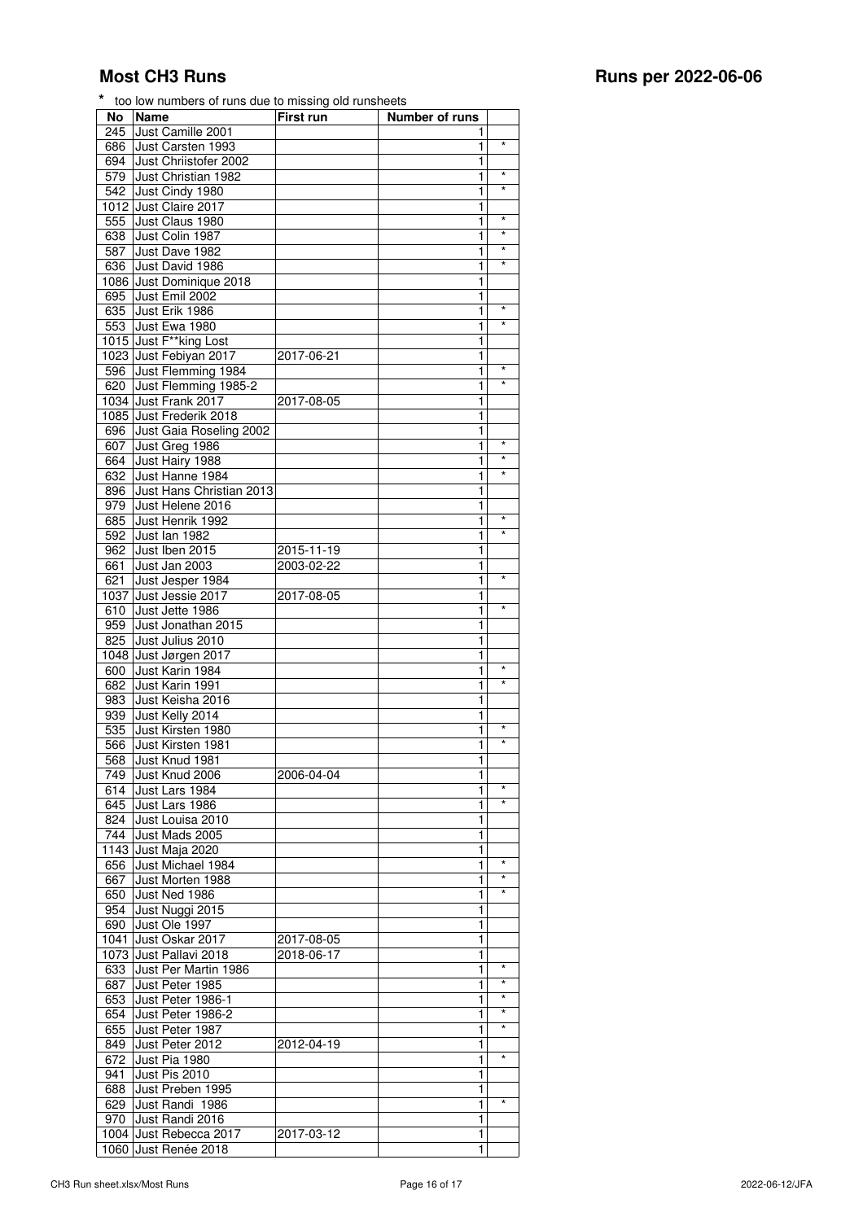| No   | <b>Name</b>              | First run  | Number of runs |            |
|------|--------------------------|------------|----------------|------------|
| 245  | Just Camille 2001        |            | 1              |            |
| 686  | Just Carsten 1993        |            | 1              | $\star$    |
|      |                          |            |                |            |
| 694  | Just Chriistofer 2002    |            | 1              |            |
| 579  | Just Christian 1982      |            | 1              | $\star$    |
| 542  | Just Cindy 1980          |            | 1              | $\star$    |
|      | 1012 Just Claire 2017    |            | 1              |            |
|      |                          |            |                | $\star$    |
| 555  | Just Claus 1980          |            | 1              |            |
| 638  | Just Colin 1987          |            | 1              | $\star$    |
| 587  | Just Dave 1982           |            | 1              | $\star$    |
| 636  | Just David 1986          |            | 1              | $\star$    |
|      |                          |            |                |            |
|      | 1086 Just Dominique 2018 |            | 1              |            |
| 695  | Just Emil 2002           |            | 1              |            |
| 635  | Just Erik 1986           |            | 1              | $\star$    |
| 553  | Just Ewa 1980            |            | 1              | $\star$    |
|      |                          |            |                |            |
|      | 1015 Just F**king Lost   |            | 1              |            |
|      | 1023 Just Febiyan 2017   | 2017-06-21 | 1              |            |
| 596  | Just Flemming 1984       |            | 1              | $^{\star}$ |
|      |                          |            |                | $\star$    |
| 620  | Just Flemming 1985-2     |            | 1              |            |
|      | 1034 Just Frank 2017     | 2017-08-05 | 1              |            |
|      | 1085 Just Frederik 2018  |            | 1              |            |
| 696  | Just Gaia Roseling 2002  |            | 1              |            |
| 607  |                          |            |                | $\star$    |
|      | Just Greg 1986           |            | 1              | $\star$    |
| 664  | Just Hairy 1988          |            | 1              |            |
| 632  | Just Hanne 1984          |            | 1              | $\star$    |
| 896  | Just Hans Christian 2013 |            | 1              |            |
|      |                          |            |                |            |
| 979  | Just Helene 2016         |            | 1              |            |
| 685  | Just Henrik 1992         |            | 1              | $\star$    |
| 592  | Just lan 1982            |            | 1              | $\star$    |
| 962  | Just Iben 2015           | 2015-11-19 | 1              |            |
|      |                          |            |                |            |
| 661  | Just Jan 2003            | 2003-02-22 | 1              |            |
| 621  | Just Jesper 1984         |            | 1              | $\star$    |
| 1037 | Just Jessie 2017         | 2017-08-05 | 1              |            |
| 610  | Just Jette 1986          |            | 1              |            |
|      |                          |            |                |            |
| 959  | Just Jonathan 2015       |            | 1              |            |
| 825  | Just Julius 2010         |            | 1              |            |
| 1048 | Just Jørgen 2017         |            | 1              |            |
| 600  | Just Karin 1984          |            | 1              | $\star$    |
|      |                          |            |                | $\star$    |
| 682  | Just Karin 1991          |            | 1              |            |
| 983  | Just Keisha 2016         |            | 1              |            |
| 939  | Just Kelly 2014          |            | 1              |            |
| 535  | Just Kirsten 1980        |            | 1              | $\star$    |
|      |                          |            |                | $\star$    |
| 566  | Just Kirsten 1981        |            | 1              |            |
| 568  | Just Knud 1981           |            | 1              |            |
| 749  | Just Knud 2006           | 2006-04-04 | 1              |            |
| 614  | Just Lars 1984           |            | 1              | $\star$    |
|      |                          |            |                | $\star$    |
| 645  | Just Lars 1986           |            | 1              |            |
| 824  | Just Louisa 2010         |            | 1              |            |
| 744  | Just Mads 2005           |            | 1              |            |
|      | 1143 Just Maja 2020      |            | 1              |            |
|      |                          |            |                | $\star$    |
| 656  | Just Michael 1984        |            | 1              |            |
| 667  | Just Morten 1988         |            | 1              | $\star$    |
| 650  | Just Ned 1986            |            | 1              | $\star$    |
| 954  | Just Nuggi 2015          |            | 1              |            |
|      |                          |            |                |            |
| 690  | Just Ole 1997            |            | 1              |            |
| 1041 | Just Oskar 2017          | 2017-08-05 | 1              |            |
|      | 1073 Just Pallavi 2018   | 2018-06-17 | 1              |            |
|      |                          |            | 1              | $\star$    |
| 633  | Just Per Martin 1986     |            |                |            |
| 687  | Just Peter 1985          |            | 1              | $\star$    |
| 653  | Just Peter 1986-1        |            | 1              | $\star$    |
| 654  | Just Peter 1986-2        |            | 1              | $\star$    |
|      |                          |            |                | $\star$    |
| 655  | Just Peter 1987          |            | 1              |            |
| 849  | Just Peter 2012          | 2012-04-19 | 1              |            |
| 672  | Just Pia 1980            |            | 1              | $\star$    |
| 941  | Just Pis 2010            |            | 1              |            |
|      |                          |            |                |            |
| 688  | Just Preben 1995         |            | 1              |            |
| 629  | Just Randi 1986          |            | $\mathbf{1}$   | $\star$    |
| 970  | Just Randi 2016          |            | 1              |            |
|      |                          |            |                |            |

1004 Just Rebecca 2017 2017-03-12 1060 Just Renée 2018 1